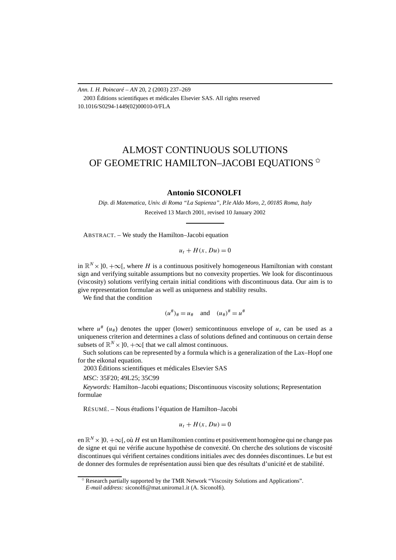*Ann. I. H. Poincaré – AN* 20, 2 (2003) 237–269 2003 Éditions scientifiques et médicales Elsevier SAS. All rights reserved 10.1016/S0294-1449(02)00010-0/FLA

# ALMOST CONTINUOUS SOLUTIONS OF GEOMETRIC HAMILTON–JACOBI EQUATIONS

## **Antonio SICONOLFI**

*Dip. di Matematica, Univ. di Roma "La Sapienza", P.le Aldo Moro, 2, 00185 Roma, Italy* Received 13 March 2001, revised 10 January 2002

ABSTRACT. – We study the Hamilton–Jacobi equation

$$
u_t + H(x, Du) = 0
$$

in  $\mathbb{R}^N$  × 10, +∞[, where *H* is a continuous positively homogeneous Hamiltonian with constant sign and verifying suitable assumptions but no convexity properties. We look for discontinuous (viscosity) solutions verifying certain initial conditions with discontinuous data. Our aim is to give representation formulae as well as uniqueness and stability results.

We find that the condition

$$
(u^{\#})_{\#} = u_{\#}
$$
 and  $(u_{\#})^{\#} = u^{\#}$ 

where  $u^{\#}(u_{\#})$  denotes the upper (lower) semicontinuous envelope of *u*, can be used as a uniqueness criterion and determines a class of solutions defined and continuous on certain dense subsets of  $\mathbb{R}^N \times [0, +\infty]$  that we call almost continuous.

Such solutions can be represented by a formula which is a generalization of the Lax–Hopf one for the eikonal equation.

2003 Éditions scientifiques et médicales Elsevier SAS

*MSC:* 35F20; 49L25; 35C99

*Keywords:* Hamilton–Jacobi equations; Discontinuous viscosity solutions; Representation formulae

RÉSUMÉ. – Nous étudions l'équation de Hamilton–Jacobi

$$
u_t + H(x, Du) = 0
$$

en R*N*× ]0*,*+∞[, où *H* est un Hamiltomien continu et positivement homogène qui ne change pas de signe et qui ne vérifie aucune hypothèse de convexité. On cherche des solutions de viscosité discontinues qui vérifient certaines conditions initiales avec des données discontinues. Le but est de donner des formules de représentation aussi bien que des résultats d'unicité et de stabilité.

<sup>✩</sup> Research partially supported by the TMR Network "Viscosity Solutions and Applications".

*E-mail address:* siconolfi@mat.uniroma1.it (A. Siconolfi).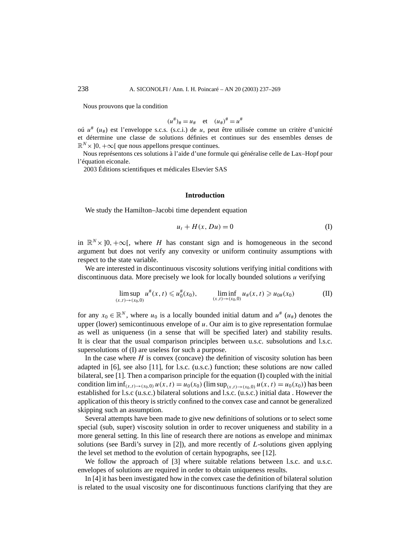Nous prouvons que la condition

$$
(u^{\#})_{\#} = u_{\#}
$$
 et  $(u_{\#})^{\#} = u^{\#}$ 

oú *u*# (*u*#) est l'enveloppe s.c.s. (s.c.i.) de *u*, peut être utilisée comme un critère d'unicité et détermine une classe de solutions définies et continues sur des ensembles denses de  $\mathbb{R}^N$  × 10,  $+\infty$ [ que nous appellons presque continues.

Nous représentons ces solutions à l'aide d'une formule qui généralise celle de Lax–Hopf pour l'équation eiconale.

2003 Éditions scientifiques et médicales Elsevier SAS

#### **Introduction**

We study the Hamilton–Jacobi time dependent equation

$$
u_t + H(x, Du) = 0 \tag{I}
$$

in  $\mathbb{R}^N \times [0, +\infty]$ , where *H* has constant sign and is homogeneous in the second argument but does not verify any convexity or uniform continuity assumptions with respect to the state variable.

We are interested in discontinuous viscosity solutions verifying initial conditions with discontinuous data. More precisely we look for locally bounded solutions *u* verifying

$$
\limsup_{(x,t)\to(x_0,0)} u^{\#}(x,t) \leq u_0^{\#}(x_0), \qquad \liminf_{(x,t)\to(x_0,0)} u_{\#}(x,t) \geq u_{0\#}(x_0)
$$
 (II)

for any  $x_0 \in \mathbb{R}^N$ , where  $u_0$  is a locally bounded initial datum and  $u^*(u_*)$  denotes the upper (lower) semicontinuous envelope of *u*. Our aim is to give representation formulae as well as uniqueness (in a sense that will be specified later) and stability results. It is clear that the usual comparison principles between u.s.c. subsolutions and l.s.c. supersolutions of (I) are useless for such a purpose.

In the case where *H* is convex (concave) the definition of viscosity solution has been adapted in [6], see also [11], for l.s.c. (u.s.c.) function; these solutions are now called bilateral, see [1]. Then a comparison principle for the equation (I) coupled with the initial condition  $\liminf_{(x,t)\to(x_0,0)} u(x,t) = u_0(x_0)$  ( $\limsup_{(x,t)\to(x_0,0)} u(x,t) = u_0(x_0)$ ) has been established for l.s.c (u.s.c.) bilateral solutions and l.s.c. (u.s.c.) initial data . However the application of this theory is strictly confined to the convex case and cannot be generalized skipping such an assumption.

Several attempts have been made to give new definitions of solutions or to select some special (sub, super) viscosity solution in order to recover uniqueness and stability in a more general setting. In this line of research there are notions as envelope and minimax solutions (see Bardi's survey in [2]), and more recently of *L*-solutions given applying the level set method to the evolution of certain hypographs, see [12].

We follow the approach of [3] where suitable relations between l.s.c. and u.s.c. envelopes of solutions are required in order to obtain uniqueness results.

In [4] it has been investigated how in the convex case the definition of bilateral solution is related to the usual viscosity one for discontinuous functions clarifying that they are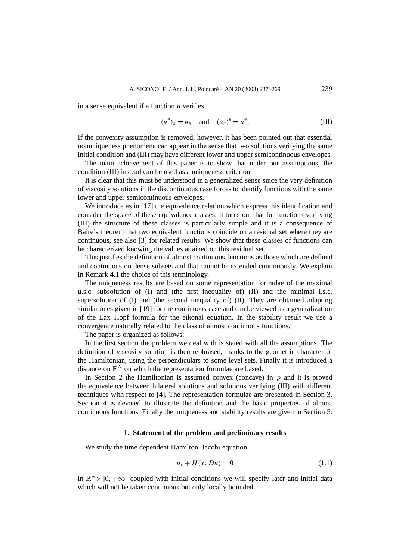in a sense equivalent if a function *u* verifies

$$
(u^{\#})_{\#} = u_{\#} \quad \text{and} \quad (u_{\#})^{\#} = u^{\#}.
$$
 (III)

If the convexity assumption is removed, however, it has been pointed out that essential nonuniqueness phenomena can appear in the sense that two solutions verifying the same initial condition and (III) may have different lower and upper semicontinuous envelopes.

The main achievement of this paper is to show that under our assumptions, the condition (III) instead can be used as a uniqueness criterion.

It is clear that this must be understood in a generalized sense since the very definition of viscosity solutions in the discontinuous case forces to identify functions with the same lower and upper semicontinuous envelopes.

We introduce as in [17] the equivalence relation which express this identification and consider the space of these equivalence classes. It turns out that for functions verifying (III) the structure of these classes is particularly simple and it is a consequence of Baire's theorem that two equivalent functions coincide on a residual set where they are continuous, see also [3] for related results. We show that these classes of functions can be characterized knowing the values attained on this residual set.

This justifies the definition of almost continuous functions as those which are defined and continuous on dense subsets and that cannot be extended continuously. We explain in Remark 4.1 the choice of this terminology.

The uniqueness results are based on some representation formulae of the maximal u.s.c. subsolution of (I) and (the first inequality of) (II) and the minimal l.s.c. supersolution of (I) and (the second inequality of) (II). They are obtained adapting similar ones given in [19] for the continuous case and can be viewed as a generalization of the Lax–Hopf formula for the eikonal equation. In the stability result we use a convergence naturally related to the class of almost continuous functions.

The paper is organized as follows:

In the first section the problem we deal with is stated with all the assumptions. The definition of viscosity solution is then rephrased, thanks to the geometric character of the Hamiltonian, using the perpendiculars to some level sets. Finally it is introduced a distance on  $\mathbb{R}^N$  on which the representation formulae are based.

In Section 2 the Hamiltonian is assumed convex (concave) in *p* and it is proved the equivalence between bilateral solutions and solutions verifying (III) with different techniques with respect to [4]. The representation formulae are presented in Section 3. Section 4 is devoted to illustrate the definition and the basic properties of almost continuous functions. Finally the uniqueness and stability results are given in Section 5.

#### **1. Statement of the problem and preliminary results**

We study the time dependent Hamilton–Jacobi equation

$$
u_t + H(x, Du) = 0 \tag{1.1}
$$

in  $\mathbb{R}^N \times [0, +\infty[$  coupled with initial conditions we will specify later and initial data which will not be taken continuous but only locally bounded.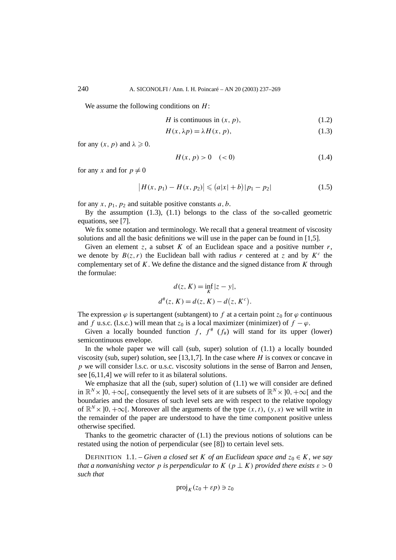We assume the following conditions on *H*:

$$
H \text{ is continuous in } (x, p), \tag{1.2}
$$

$$
H(x, \lambda p) = \lambda H(x, p),\tag{1.3}
$$

for any  $(x, p)$  and  $\lambda \geqslant 0$ .

$$
H(x, p) > 0 \quad (<0) \tag{1.4}
$$

for any *x* and for  $p \neq 0$ 

$$
|H(x, p_1) - H(x, p_2)| \leq (a|x| + b)|p_1 - p_2| \tag{1.5}
$$

for any  $x$ ,  $p_1$ ,  $p_2$  and suitable positive constants  $a$ ,  $b$ .

By the assumption (1.3), (1.1) belongs to the class of the so-called geometric equations, see [7].

We fix some notation and terminology. We recall that a general treatment of viscosity solutions and all the basic definitions we will use in the paper can be found in [1,5].

Given an element *z*, a subset *K* of an Euclidean space and a positive number *r*, we denote by  $B(z, r)$  the Euclidean ball with radius *r* centered at *z* and by  $K<sup>c</sup>$  the complementary set of *K*. We define the distance and the signed distance from *K* through the formulae:

$$
d(z, K) = \inf_{K} |z - y|,
$$
  

$$
d^*(z, K) = d(z, K) - d(z, K^c).
$$

The expression  $\varphi$  is supertangent (subtangent) to f at a certain point  $z_0$  for  $\varphi$  continuous and *f* u.s.c. (l.s.c.) will mean that  $z_0$  is a local maximizer (minimizer) of  $f - \varphi$ .

Given a locally bounded function  $f$ ,  $f^{\#}(f_{\#})$  will stand for its upper (lower) semicontinuous envelope.

In the whole paper we will call (sub, super) solution of  $(1.1)$  a locally bounded viscosity (sub, super) solution, see [13,1,7]. In the case where *H* is convex or concave in *p* we will consider l.s.c. or u.s.c. viscosity solutions in the sense of Barron and Jensen, see [6,11,4] we will refer to it as bilateral solutions.

We emphasize that all the (sub, super) solution of (1.1) we will consider are defined in  $\mathbb{R}^N \times [0, +\infty[$ , consequently the level sets of it are subsets of  $\mathbb{R}^N \times [0, +\infty[$  and the boundaries and the closures of such level sets are with respect to the relative topology of  $\mathbb{R}^N \times [0, +\infty]$ . Moreover all the arguments of the type  $(x, t)$ ,  $(y, s)$  we will write in the remainder of the paper are understood to have the time component positive unless otherwise specified.

Thanks to the geometric character of (1.1) the previous notions of solutions can be restated using the notion of perpendicular (see [8]) to certain level sets.

**DEFINITION** 1.1. – *Given a closed set K of an Euclidean space and*  $z_0 \in K$ *, we say that a nonvanishing vector p is perpendicular to*  $K(p \perp K)$  *provided there exists*  $\varepsilon > 0$ *such that*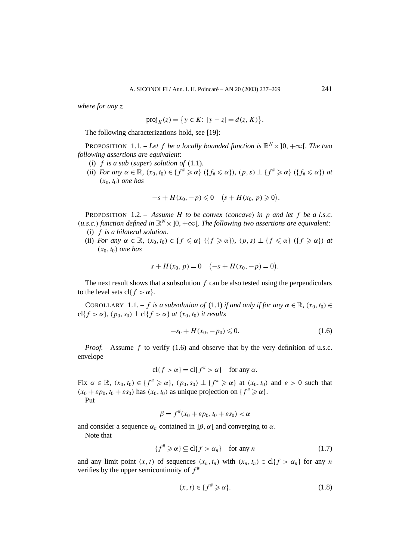*where for any z*

$$
\text{proj}_K(z) = \{ y \in K : |y - z| = d(z, K) \}.
$$

The following characterizations hold, see [19]:

PROPOSITION 1.1. – Let f be a locally bounded function is  $\mathbb{R}^N \times [0, +\infty]$ . The two *following assertions are equivalent*:

- (i)  $f$  *is a sub* (*super*) *solution of* (1.1).
- (ii) For any  $\alpha \in \mathbb{R}$ ,  $(x_0, t_0) \in \{f^* \geq \alpha\}$   $(\{f_* \leq \alpha\})$ ,  $(p, s) \perp \{f^* \geq \alpha\}$   $(\{f_* \leq \alpha\})$  at  $(x_0, t_0)$  *one has*

$$
-s + H(x_0, -p) \leq 0 \quad (s + H(x_0, p) \geq 0).
$$

PROPOSITION 1.2. – *Assume H to be convex (concave) in p and let f be a l.s.c.*  $(u.s.c.)$  *function defined in*  $\mathbb{R}^N \times [0, +\infty)$ *. The following two assertions are equivalent*:

- (i) *f is a bilateral solution.*
- (ii) For any  $\alpha \in \mathbb{R}$ ,  $(x_0, t_0) \in \{f \leq \alpha\}$   $(\{f \geq \alpha\})$ ,  $(p, s) \perp \{f \leq \alpha\}$   $(\{f \geq \alpha\})$  at  $(x_0, t_0)$  *one* has

$$
s + H(x_0, p) = 0 \quad (-s + H(x_0, -p) = 0).
$$

The next result shows that a subsolution  $f$  can be also tested using the perpendiculars to the level sets cl{ $f > \alpha$ }.

COROLLARY 1.1. – *f is a subsolution of* (1.1) *if and only if for any*  $\alpha \in \mathbb{R}$ ,  $(x_0, t_0) \in$ cl{*f* >  $\alpha$ }*,*  $(p_0, s_0) \perp$  cl{*f* >  $\alpha$ *} at*  $(x_0, t_0)$  *it results* 

$$
-s_0 + H(x_0, -p_0) \leq 0. \tag{1.6}
$$

*Proof.* – Assume f to verify (1.6) and observe that by the very definition of u.s.c. envelope

$$
cl{f > \alpha} = cl{f^* > \alpha} \quad \text{for any } \alpha.
$$

Fix  $\alpha \in \mathbb{R}$ ,  $(x_0, t_0) \in \{f^* \geq \alpha\}$ ,  $(p_0, s_0) \perp \{f^* \geq \alpha\}$  at  $(x_0, t_0)$  and  $\varepsilon > 0$  such that  $(x_0 + \varepsilon p_0, t_0 + \varepsilon s_0)$  has  $(x_0, t_0)$  as unique projection on  $\{f^* \ge \alpha\}.$ 

Put

$$
\beta = f^*(x_0 + \varepsilon p_0, t_0 + \varepsilon s_0) < \alpha
$$

and consider a sequence  $\alpha_n$  contained in  $\beta$ ,  $\alpha$ [ and converging to  $\alpha$ .

Note that

$$
\{f^{\#} \geq \alpha\} \subseteq \text{cl}\{f > \alpha_n\} \quad \text{for any } n \tag{1.7}
$$

and any limit point  $(x, t)$  of sequences  $(x_n, t_n)$  with  $(x_n, t_n) \in \text{cl}\{f > \alpha_n\}$  for any *n* verifies by the upper semicontinuity of  $f^{\#}$ 

$$
(x,t) \in \{f^* \geq \alpha\}.\tag{1.8}
$$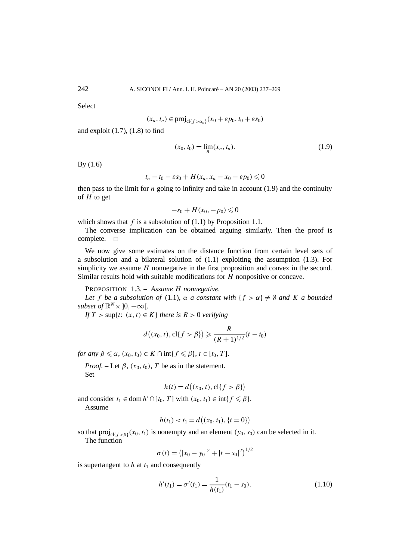Select

$$
(x_n, t_n) \in \text{proj}_{\text{cl}\{f > \alpha_n\}}(x_0 + \varepsilon p_0, t_0 + \varepsilon s_0)
$$

and exploit  $(1.7)$ ,  $(1.8)$  to find

$$
(x_0, t_0) = \lim_{n} (x_n, t_n).
$$
 (1.9)

By (1.6)

$$
t_n - t_0 - \varepsilon s_0 + H(x_n, x_n - x_0 - \varepsilon p_0) \leq 0
$$

then pass to the limit for  $n$  going to infinity and take in account  $(1.9)$  and the continuity of *H* to get

 $-s_0 + H(x_0, -p_0) \leq 0$ 

which shows that  $f$  is a subsolution of  $(1.1)$  by Proposition 1.1.

The converse implication can be obtained arguing similarly. Then the proof is complete.  $\square$ 

We now give some estimates on the distance function from certain level sets of a subsolution and a bilateral solution of  $(1.1)$  exploiting the assumption  $(1.3)$ . For simplicity we assume *H* nonnegative in the first proposition and convex in the second. Similar results hold with suitable modifications for *H* nonpositive or concave.

PROPOSITION 1.3. – *Assume H nonnegative.*

*Let f be a subsolution of* (1.1)*,*  $\alpha$  *a constant with*  $\{f > \alpha\} \neq \emptyset$  *and K a bounded subset of*  $\mathbb{R}^N \times 10$ ,  $+\infty$ [*.* 

*If*  $T > \sup\{t: (x, t) \in K\}$  *there is*  $R > 0$  *verifying* 

$$
d((x_0, t), \operatorname{cl}\{f > \beta\}) \geqslant \frac{R}{(R+1)^{1/2}}(t - t_0)
$$

*for any*  $\beta \leq \alpha$ ,  $(x_0, t_0) \in K \cap \inf\{f \leq \beta\}$ ,  $t \in [t_0, T]$ .

*Proof.* – Let  $\beta$ ,  $(x_0, t_0)$ , *T* be as in the statement. Set

$$
h(t) = d\big((x_0, t), \mathrm{cl}\{f > \beta\}\big)
$$

and consider  $t_1 \in \text{dom } h' \cap ]t_0, T]$  with  $(x_0, t_1) \in \text{int}\lbrace f \leq \beta \rbrace$ .

Assume

$$
h(t_1) < t_1 = d\big((x_0, t_1), \{t = 0\}\big)
$$

so that  $proj_{\text{cl}\{f > \beta\}}(x_0, t_1)$  is nonempty and an element  $(y_0, s_0)$  can be selected in it. The function

$$
\sigma(t) = (|x_0 - y_0|^2 + |t - s_0|^2)^{1/2}
$$

is supertangent to  $h$  at  $t_1$  and consequently

$$
h'(t_1) = \sigma'(t_1) = \frac{1}{h(t_1)}(t_1 - s_0).
$$
\n(1.10)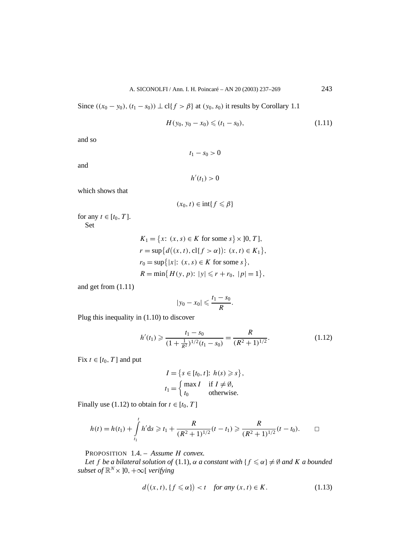Since  $((x_0 - y_0), (t_1 - s_0))$  ⊥ cl{*f* >  $\beta$ } at  $(y_0, s_0)$  it results by Corollary 1.1

$$
H(y_0, y_0 - x_0) \leq (t_1 - s_0), \tag{1.11}
$$

and so

 $t_1 - s_0 > 0$ 

and

 $h'(t_1) > 0$ 

which shows that

$$
(x_0, t) \in \text{int}\{f \leq \beta\}
$$

for any  $t \in [t_0, T]$ . Set

$$
K_1 = \{x: (x, s) \in K \text{ for some } s\} \times [0, T],
$$
  
\n
$$
r = \sup \{d((x, t), cl\{f > \alpha\}): (x, t) \in K_1\},
$$
  
\n
$$
r_0 = \sup \{|x|: (x, s) \in K \text{ for some } s\},
$$
  
\n
$$
R = \min \{H(y, p): |y| \le r + r_0, |p| = 1\},
$$

and get from (1.11)

$$
|y_0-x_0|\leqslant \frac{t_1-s_0}{R}.
$$

Plug this inequality in (1.10) to discover

$$
h'(t_1) \geqslant \frac{t_1 - s_0}{(1 + \frac{1}{R^2})^{1/2} (t_1 - s_0)} = \frac{R}{(R^2 + 1)^{1/2}}.
$$
\n(1.12)

Fix  $t \in [t_0, T]$  and put

$$
I = \{s \in [t_0, t]: h(s) \geq s\},
$$
  

$$
t_1 = \begin{cases} \max I & \text{if } I \neq \emptyset, \\ t_0 & \text{otherwise.} \end{cases}
$$

Finally use (1.12) to obtain for  $t \in [t_0, T]$ 

$$
h(t) = h(t_1) + \int_{t_1}^t h' ds \geq t_1 + \frac{R}{(R^2 + 1)^{1/2}}(t - t_1) \geq \frac{R}{(R^2 + 1)^{1/2}}(t - t_0).
$$

PROPOSITION 1.4. – *Assume H convex.*

*Let f be a bilateral solution of* (1.1)*,*  $\alpha$  *a constant with* { $f \leq \alpha$ }  $\neq \emptyset$  *and K a bounded subset of*  $\mathbb{R}^N \times [0, +\infty[$  *verifying* 

$$
d\big((x,t),\{f\leq \alpha\}\big)< t \quad \text{for any } (x,t)\in K. \tag{1.13}
$$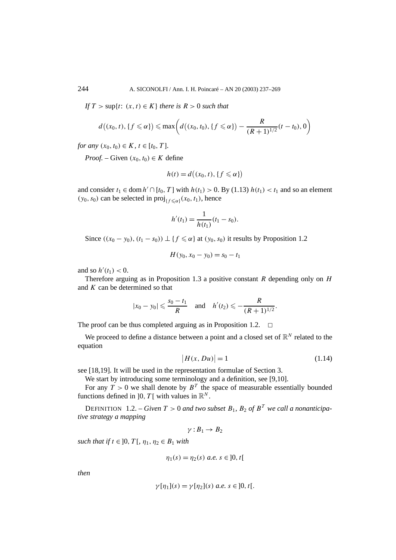*If*  $T > \sup\{t: (x, t) \in K\}$  *there is*  $R > 0$  *such that* 

$$
d((x_0, t), \{f \leq \alpha\}) \leq \max\left(d((x_0, t_0), \{f \leq \alpha\}) - \frac{R}{(R+1)^{1/2}}(t-t_0), 0\right)
$$

*for any*  $(x_0, t_0) \in K$ ,  $t \in [t_0, T]$ .

*Proof.* – Given  $(x_0, t_0) \in K$  define

$$
h(t) = d\big((x_0, t), \{f \leq \alpha\}\big)
$$

and consider  $t_1 \in \text{dom } h' \cap [t_0, T]$  with  $h(t_1) > 0$ . By (1.13)  $h(t_1) < t_1$  and so an element  $(y_0, s_0)$  can be selected in proj $(f \leq \alpha)$  $(x_0, t_1)$ , hence

$$
h'(t_1) = \frac{1}{h(t_1)}(t_1 - s_0).
$$

Since  $((x_0 - y_0), (t_1 - s_0)) \perp \{f \leq \alpha\}$  at  $(y_0, s_0)$  it results by Proposition 1.2

$$
H(y_0, x_0 - y_0) = s_0 - t_1
$$

and so  $h'(t_1) < 0$ .

Therefore arguing as in Proposition 1.3 a positive constant *R* depending only on *H* and *K* can be determined so that

$$
|x_0 - y_0| \leq \frac{s_0 - t_1}{R}
$$
 and  $h'(t_2) \leq -\frac{R}{(R+1)^{1/2}}$ .

The proof can be thus completed arguing as in Proposition 1.2.  $\Box$ 

We proceed to define a distance between a point and a closed set of R*<sup>N</sup>* related to the equation

$$
|H(x, Du)| = 1\tag{1.14}
$$

see [18,19]. It will be used in the representation formulae of Section 3.

We start by introducing some terminology and a definition, see [9,10].

For any  $T > 0$  we shall denote by  $B<sup>T</sup>$  the space of measurable essentially bounded functions defined in  $]0, T[$  with values in  $\mathbb{R}^N$ .

DEFINITION 1.2. – *Given*  $T > 0$  *and two subset*  $B_1$ ,  $B_2$  *of*  $B^T$  *we call a nonanticipative strategy a mapping*

$$
\gamma:B_1\to B_2
$$

*such that if*  $t \in [0, T[, \eta_1, \eta_2 \in B_1 \text{ with }$ 

$$
\eta_1(s) = \eta_2(s) \ a.e. \ s \in ]0, t[
$$

*then*

$$
\gamma[\eta_1](s) = \gamma[\eta_2](s) \ a.e. \ s \in ]0, t[.
$$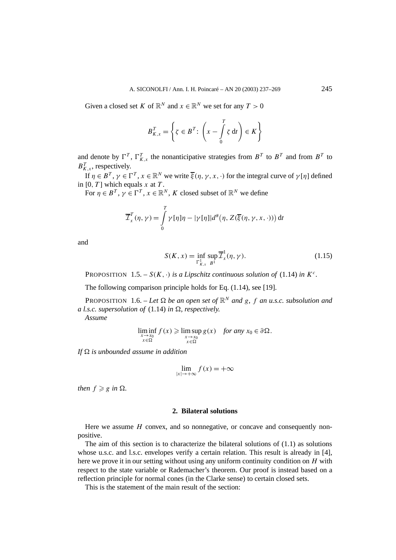Given a closed set *K* of  $\mathbb{R}^N$  and  $x \in \mathbb{R}^N$  we set for any  $T > 0$ 

$$
B_{K,x}^T = \left\{ \zeta \in B^T \colon \left( x - \int_0^T \zeta \, \mathrm{d}t \right) \in K \right\}
$$

and denote by  $\Gamma^T$ ,  $\Gamma^T_{K,x}$  the nonanticipative strategies from  $B^T$  to  $B^T$  and from  $B^T$  to  $B_{K,x}^T$ , respectively.

If  $\eta \in B^T$ ,  $\gamma \in \Gamma^T$ ,  $x \in \mathbb{R}^N$  we write  $\overline{\xi}(\eta, \gamma, x, \cdot)$  for the integral curve of  $\gamma[\eta]$  defined in  $[0, T]$  which equals  $x$  at  $T$ .

For  $\eta \in B^T$ ,  $\gamma \in \Gamma^T$ ,  $x \in \mathbb{R}^N$ , *K* closed subset of  $\mathbb{R}^N$  we define

$$
\overline{\mathcal{I}}_x^T(\eta, \gamma) = \int_0^T \gamma[\eta] \eta - |\gamma[\eta]| d^{\#}(\eta, Z(\overline{\xi}(\eta, \gamma, x, \cdot))) dt
$$

and

$$
S(K, x) = \inf_{\Gamma^1_{K, x} B^1} \sup_{B^1} \overline{\mathcal{I}}_x^1(\eta, \gamma).
$$
 (1.15)

**PROPOSITION** 1.5. –  $S(K, \cdot)$  *is a Lipschitz continuous solution of* (1.14) *in*  $K^c$ .

The following comparison principle holds for Eq. (1.14), see [19].

PROPOSITION 1.6. – Let  $\Omega$  be an open set of  $\mathbb{R}^N$  and g, f an u.s.c. subsolution and *a l.s.c. supersolution of*  $(1.14)$  *in*  $\Omega$ *, respectively.* 

*Assume*

$$
\liminf_{\substack{x \to x_0 \\ x \in \Omega}} f(x) \geq \limsup_{\substack{x \to x_0 \\ x \in \Omega}} g(x) \quad \text{for any } x_0 \in \partial \Omega.
$$

*If*  $\Omega$  *is unbounded assume in addition* 

$$
\lim_{|x| \to +\infty} f(x) = +\infty
$$

*then*  $f \ge g$  *in*  $\Omega$ *.* 

#### **2. Bilateral solutions**

Here we assume *H* convex, and so nonnegative, or concave and consequently nonpositive.

The aim of this section is to characterize the bilateral solutions of (1.1) as solutions whose u.s.c. and l.s.c. envelopes verify a certain relation. This result is already in [4], here we prove it in our setting without using any uniform continuity condition on *H* with respect to the state variable or Rademacher's theorem. Our proof is instead based on a reflection principle for normal cones (in the Clarke sense) to certain closed sets.

This is the statement of the main result of the section: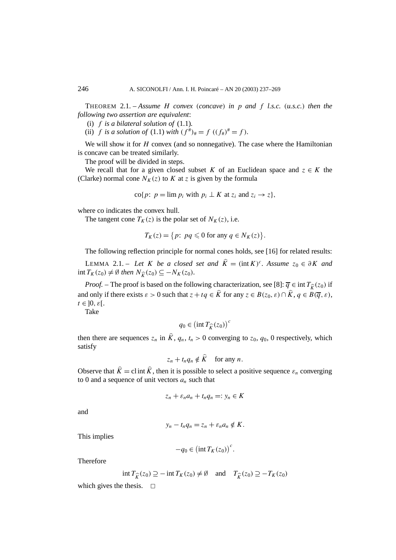THEOREM 2.1. – *Assume H convex (concave) in p and f l.s.c. (u.s.c.) then the following two assertion are equivalent*:

(i) *f is a bilateral solution of* (1.1)*.*

(ii) *f* is a solution of (1.1) with  $(f^*)_{\mu} = f ((f_{\mu})^* = f)$ .

We will show it for *H* convex (and so nonnegative). The case where the Hamiltonian is concave can be treated similarly.

The proof will be divided in steps.

We recall that for a given closed subset *K* of an Euclidean space and  $z \in K$  the (Clarke) normal cone  $N_K(z)$  to *K* at *z* is given by the formula

$$
\operatorname{co}\{p\colon p=\lim p_i \text{ with } p_i \perp K \text{ at } z_i \text{ and } z_i \to z\},
$$

where co indicates the convex hull.

The tangent cone  $T_K(z)$  is the polar set of  $N_K(z)$ , i.e.

$$
T_K(z) = \{ p \colon pq \leq 0 \text{ for any } q \in N_K(z) \}.
$$

The following reflection principle for normal cones holds, see [16] for related results:

LEMMA 2.1. – *Let K be a closed set and*  $\hat{K} = (\text{int } K)^c$ *. Assume*  $z_0 \in \partial K$  *and*  $int T_K(z_0) \neq \emptyset$  *then*  $N_{\widehat{K}}(z_0) \subseteq -N_K(z_0)$ *.* 

*Proof.* – The proof is based on the following characterization, see [8]:  $\overline{q} \in \text{int } T_{\hat{K}}(z_0)$  if and only if there exists  $\varepsilon > 0$  such that  $z + tq \in \hat{K}$  for any  $z \in B(z_0, \varepsilon) \cap \hat{K}$ ,  $q \in \hat{B(\overline{q}, \varepsilon)}$ ,  $t \in [0, \varepsilon]$ .

Take

$$
q_0 \in \left(\text{int } T_{\widehat{K}}(z_0)\right)^c
$$

then there are sequences  $z_n$  in  $K$ ,  $q_n$ ,  $t_n > 0$  converging to  $z_0$ ,  $q_0$ , 0 respectively, which satisfy

$$
z_n+t_nq_n\notin \widehat{K} \quad \text{for any } n.
$$

Observe that  $\hat{K} = c \cdot \sin k \hat{k}$ , then it is possible to select a positive sequence  $\varepsilon_n$  converging to 0 and a sequence of unit vectors *an* such that

$$
z_n + \varepsilon_n a_n + t_n q_n =: y_n \in K
$$

and

$$
y_n-t_nq_n=z_n+\varepsilon_na_n\notin K.
$$

This implies

$$
-q_0 \in \left(\operatorname{int} T_K(z_0)\right)^c.
$$

Therefore

$$
\inf T_{\widehat{K}}(z_0) \supseteq -\inf T_K(z_0) \neq \emptyset \quad \text{and} \quad T_{\widehat{K}}(z_0) \supseteq -T_K(z_0)
$$

which gives the thesis.  $\Box$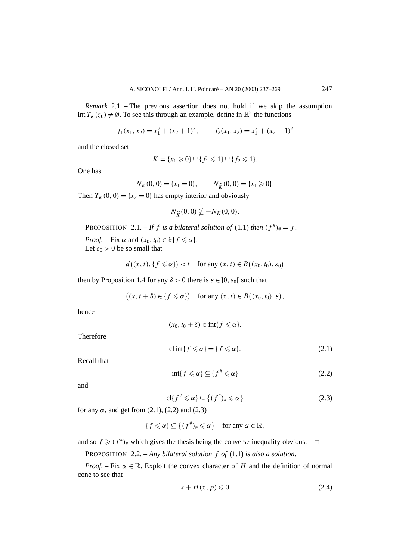*Remark* 2.1. – The previous assertion does not hold if we skip the assumption int  $T_K(z_0) \neq \emptyset$ . To see this through an example, define in  $\mathbb{R}^2$  the functions

$$
f_1(x_1, x_2) = x_1^2 + (x_2 + 1)^2
$$
,  $f_2(x_1, x_2) = x_1^2 + (x_2 - 1)^2$ 

and the closed set

$$
K = \{x_1 \geq 0\} \cup \{f_1 \leq 1\} \cup \{f_2 \leq 1\}.
$$

One has

$$
N_K(0,0) = \{x_1 = 0\}, \qquad N_{\widehat{K}}(0,0) = \{x_1 \ge 0\}.
$$

Then  $T_K(0, 0) = \{x_2 = 0\}$  has empty interior and obviously

$$
N_{\widehat{K}}(0,0) \nsubseteq -N_K(0,0).
$$

PROPOSITION 2.1. – If *f* is a bilateral solution of (1.1) then  $(f^*)_{\#} = f$ .

*Proof.* – Fix  $\alpha$  and  $(x_0, t_0) \in \partial \{f \leq \alpha\}.$ Let  $\varepsilon_0 > 0$  be so small that

$$
d\big((x,t),\{f\leq \alpha\}\big)< t \quad \text{for any } (x,t)\in B\big((x_0,t_0),\varepsilon_0\big)
$$

then by Proposition 1.4 for any  $\delta > 0$  there is  $\varepsilon \in [0, \varepsilon_0]$  such that

 $((x, t + \delta) \in \{f \leq \alpha\})$  for any  $(x, t) \in B((x_0, t_0), \varepsilon)$ ,

hence

$$
(x_0, t_0 + \delta) \in \text{int}\{f \leq \alpha\}.
$$

Therefore

$$
cl\inf\{f \leqslant \alpha\} = \{f \leqslant \alpha\}.
$$
\n(2.1)

Recall that

$$
int{f \leq \alpha} \subseteq {f^* \leq \alpha}
$$
\n(2.2)

and

$$
\mathrm{cl}\{f^* \leq \alpha\} \subseteq \left\{ (f^*)_{\#} \leq \alpha\right\} \tag{2.3}
$$

for any  $\alpha$ , and get from (2.1), (2.2) and (2.3)

$$
\{f \leq \alpha\} \subseteq \left\{(f^*)_{\#} \leq \alpha\right\} \quad \text{for any } \alpha \in \mathbb{R},
$$

and so  $f \geq f^*$ )<sup>#</sup> which gives the thesis being the converse inequality obvious.  $\Box$ 

PROPOSITION 2.2. – *Any bilateral solution f of* (1.1) *is also a solution.*

*Proof.* – Fix  $\alpha \in \mathbb{R}$ . Exploit the convex character of *H* and the definition of normal cone to see that

$$
s + H(x, p) \leq 0 \tag{2.4}
$$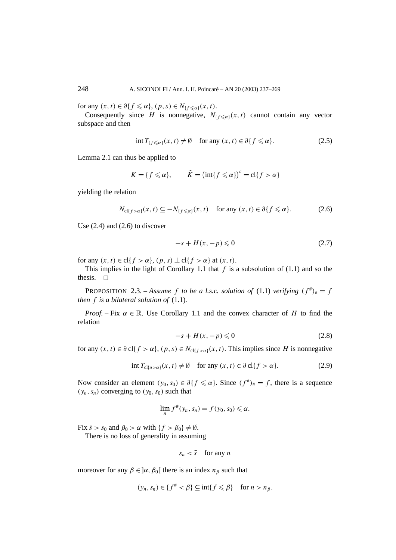for any  $(x, t) \in \partial \{f \leq \alpha\}, (p, s) \in N_{\{f \leq \alpha\}}(x, t)$ .

Consequently since *H* is nonnegative,  $N_{\{f \leq \alpha\}}(x, t)$  cannot contain any vector subspace and then

$$
\inf T_{\{f \leq \alpha\}}(x,t) \neq \emptyset \quad \text{for any } (x,t) \in \partial \{f \leq \alpha\}. \tag{2.5}
$$

Lemma 2.1 can thus be applied to

$$
K = \{f \leq \alpha\}, \qquad \widehat{K} = \left(\inf\{f \leq \alpha\}\right)^c = \text{cl}\{f > \alpha\}
$$

yielding the relation

$$
N_{\mathrm{cl}\{f>\alpha\}}(x,t)\subseteq -N_{\{f\leq\alpha\}}(x,t) \quad \text{for any } (x,t)\in\partial\{f\leq\alpha\}.\tag{2.6}
$$

Use (2.4) and (2.6) to discover

$$
-s + H(x, -p) \leq 0 \tag{2.7}
$$

for any  $(x, t) \in \text{cl}\lbrace f > \alpha \rbrace$ ,  $(p, s) \perp \text{cl}\lbrace f > \alpha \rbrace$  at  $(x, t)$ .

This implies in the light of Corollary 1.1 that  $f$  is a subsolution of  $(1.1)$  and so the thesis.  $\Box$ 

**PROPOSITION** 2.3. – Assume f to be a l.s.c. solution of (1.1) verifying  $(f^*)_{\#} = f$ *then f is a bilateral solution of* (1.1)*.*

*Proof.* – Fix  $\alpha \in \mathbb{R}$ . Use Corollary 1.1 and the convex character of *H* to find the relation

$$
-s + H(x, -p) \leq 0 \tag{2.8}
$$

for any  $(x, t) \in \partial$  cl{ $f > \alpha$ },  $(p, s) \in N_{\text{cl}(f > \alpha)}(x, t)$ . This implies since *H* is nonnegative

$$
\int \int_{\text{Cl}(u>\alpha)} (x, t) \neq \emptyset \quad \text{for any } (x, t) \in \partial \text{Cl}(f>\alpha). \tag{2.9}
$$

Now consider an element  $(y_0, s_0) \in \partial \{f \leq \alpha\}$ . Since  $(f^*)_{\#} = f$ , there is a sequence  $(y_n, s_n)$  converging to  $(y_0, s_0)$  such that

$$
\lim_{n} f^{\#}(y_n, s_n) = f(y_0, s_0) \leq \alpha.
$$

Fix  $\bar{s} > s_0$  and  $\beta_0 > \alpha$  with  $\{f > \beta_0\} \neq \emptyset$ .

There is no loss of generality in assuming

$$
s_n < \bar{s} \quad \text{for any } n
$$

moreover for any  $\beta \in ]\alpha, \beta_0[$  there is an index  $n_\beta$  such that

$$
(y_n, s_n) \in \{f^* < \beta\} \subseteq \text{int}\{f \leq \beta\} \quad \text{for } n > n_\beta.
$$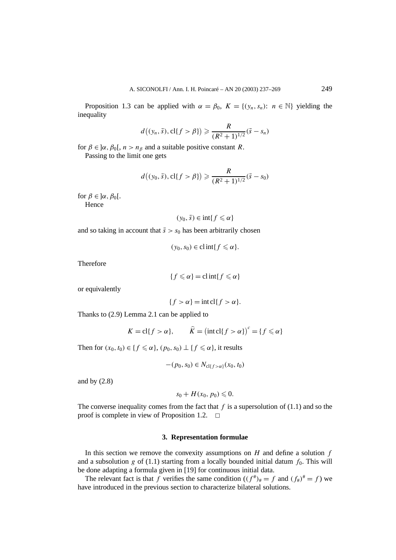Proposition 1.3 can be applied with  $\alpha = \beta_0$ ,  $K = \{(y_n, s_n): n \in \mathbb{N}\}\$  yielding the inequality

$$
d((y_n,\bar{s}),\mathrm{cl}\lbrace f>\beta\rbrace)\geqslant\frac{R}{(R^2+1)^{1/2}}(\bar{s}-s_n)
$$

for  $\beta \in ]\alpha, \beta_0[, n > n_\beta$  and a suitable positive constant *R*.

Passing to the limit one gets

$$
d((y_0, \bar{s}), \mathrm{cl}\{f > \beta\}) \geqslant \frac{R}{(R^2 + 1)^{1/2}}(\bar{s} - s_0)
$$

for  $\beta \in [\alpha, \beta_0]$ . Hence

$$
(y_0, \bar{s}) \in \text{int}\{f \leq \alpha\}
$$

and so taking in account that  $\bar{s} > s_0$  has been arbitrarily chosen

 $(y_0, s_0) \in \text{cl}\,\text{int}\{f \leq \alpha\}.$ 

Therefore

$$
\{f \leq \alpha\} = \text{cl int}\{f \leq \alpha\}
$$

or equivalently

$$
\{f > \alpha\} = \text{intcl}\{f > \alpha\}.
$$

Thanks to (2.9) Lemma 2.1 can be applied to

$$
K = \text{cl}\{f > \alpha\}, \qquad \widehat{K} = (\text{intcl}\{f > \alpha\})^c = \{f \leq \alpha\}
$$

Then for  $(x_0, t_0) \in \{f \leq \alpha\}, (p_0, s_0) \perp \{f \leq \alpha\},$  it results

$$
-(p_0, s_0) \in N_{\mathrm{cl}\{f > \alpha\}}(x_0, t_0)
$$

and by  $(2.8)$ 

$$
s_0+H(x_0, p_0)\leq 0.
$$

The converse inequality comes from the fact that *f* is a supersolution of (1.1) and so the proof is complete in view of Proposition 1.2.  $\Box$ 

#### **3. Representation formulae**

In this section we remove the convexity assumptions on *H* and define a solution *f* and a subsolution  $g$  of (1.1) starting from a locally bounded initial datum  $f_0$ . This will be done adapting a formula given in [19] for continuous initial data.

The relevant fact is that *f* verifies the same condition  $((f^*)_{\#} = f$  and  $(f_{\#})^{\#} = f$  we have introduced in the previous section to characterize bilateral solutions.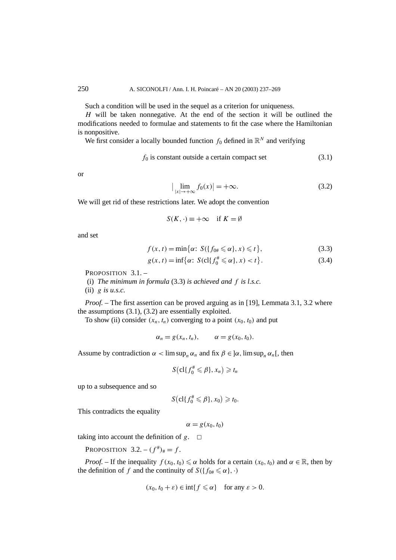Such a condition will be used in the sequel as a criterion for uniqueness.

*H* will be taken nonnegative. At the end of the section it will be outlined the modifications needed to formulae and statements to fit the case where the Hamiltonian is nonpositive.

We first consider a locally bounded function  $f_0$  defined in  $\mathbb{R}^N$  and verifying

$$
f_0 \text{ is constant outside a certain compact set} \tag{3.1}
$$

or

$$
\left|\lim_{|x| \to +\infty} f_0(x)\right| = +\infty. \tag{3.2}
$$

We will get rid of these restrictions later. We adopt the convention

$$
S(K, \cdot) \equiv +\infty \quad \text{if } K = \emptyset
$$

and set

$$
f(x,t) = \min\{\alpha: S(\lbrace f_{0\#} \leq \alpha \rbrace, x) \leq t\},\tag{3.3}
$$

$$
g(x,t) = \inf \{ \alpha : S(cl\{ f_0^{\#} \leq \alpha \}, x) < t \}.
$$
 (3.4)

PROPOSITION 3.1. -

(i) *The minimum in formula* (3.3) *is achieved and f is l.s.c.*

(ii) *g is u.s.c.*

*Proof. –* The first assertion can be proved arguing as in [19], Lemmata 3.1, 3.2 where the assumptions (3.1), (3.2) are essentially exploited.

To show (ii) consider  $(x_n, t_n)$  converging to a point  $(x_0, t_0)$  and put

$$
\alpha_n = g(x_n, t_n), \qquad \alpha = g(x_0, t_0).
$$

Assume by contradiction  $\alpha$  < lim sup<sub>n</sub>  $\alpha_n$  and fix  $\beta \in \alpha$ , lim sup<sub>n</sub>  $\alpha_n$ [, then

$$
S\big(\mathrm{cl}\{f_0^{\#} \leq \beta\}, x_n\big) \geq t_n
$$

up to a subsequence and so

$$
S\big(\mathrm{cl}\{f_0^{\#} \leqslant \beta\}, x_0\big) \geqslant t_0.
$$

This contradicts the equality

 $\alpha = g(x_0, t_0)$ 

taking into account the definition of  $g$ .  $\Box$ 

PROPOSITION  $3.2 - (f^*)_{\mu} = f$ .

*Proof.* – If the inequality  $f(x_0, t_0) \le \alpha$  holds for a certain  $(x_0, t_0)$  and  $\alpha \in \mathbb{R}$ , then by the definition of *f* and the continuity of  $S({f_{0#} \le \alpha}, \cdot)$ 

$$
(x_0, t_0 + \varepsilon) \in \text{int}\lbrace f \leq \alpha \rbrace
$$
 for any  $\varepsilon > 0$ .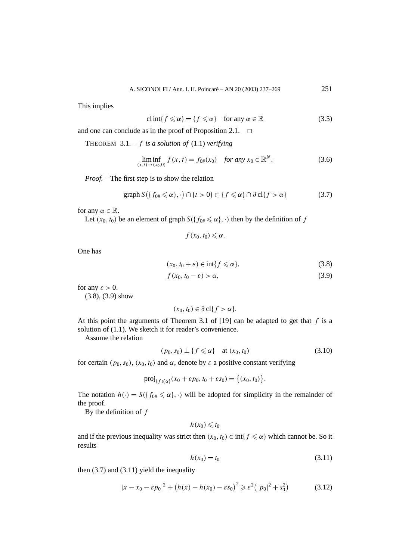This implies

$$
\operatorname{cl}\operatorname{int}\{f \leq \alpha\} = \{f \leq \alpha\} \quad \text{for any } \alpha \in \mathbb{R} \tag{3.5}
$$

and one can conclude as in the proof of Proposition 2.1.  $\Box$ 

THEOREM 3.1. – *f is a solution of* (1.1) *verifying*

$$
\liminf_{(x,t)\to(x_0,0)} f(x,t) = f_{0\#}(x_0) \quad \text{for any } x_0 \in \mathbb{R}^N. \tag{3.6}
$$

*Proof. –* The first step is to show the relation

$$
\text{graph } S\big(\{f_{0\#} \leq \alpha\},\cdot\big) \cap \{t > 0\} \subset \{f \leq \alpha\} \cap \partial \text{ cl}\{f > \alpha\} \tag{3.7}
$$

for any  $\alpha \in \mathbb{R}$ .

Let  $(x_0, t_0)$  be an element of graph  $S({f}_{0#} \le \alpha)$ ,  $\cdot$  then by the definition of f

 $f(x_0, t_0) \leq \alpha$ .

One has

$$
(x_0, t_0 + \varepsilon) \in \text{int}\{f \leq \alpha\},\tag{3.8}
$$

$$
f(x_0, t_0 - \varepsilon) > \alpha,\tag{3.9}
$$

for any  $\varepsilon > 0$ . (3.8), (3.9) show

 $(x_0, t_0) \in \partial$  cl{ $f > \alpha$ }.

At this point the arguments of Theorem 3.1 of [19] can be adapted to get that *f* is a solution of (1.1). We sketch it for reader's convenience.

Assume the relation

$$
(p_0, s_0) \perp \{f \leq \alpha\} \quad \text{at } (x_0, t_0) \tag{3.10}
$$

for certain  $(p_0, s_0)$ ,  $(x_0, t_0)$  and  $\alpha$ , denote by  $\varepsilon$  a positive constant verifying

$$
\operatorname{proj}_{\{f\leq \alpha\}}(x_0+\varepsilon p_0,t_0+\varepsilon s_0)=\big\{(x_0,t_0)\big\}.
$$

The notation  $h(\cdot) = S({f_{0#} \leq \alpha}, \cdot)$  will be adopted for simplicity in the remainder of the proof.

By the definition of *f*

 $h(x_0) \leq t_0$ 

and if the previous inequality was strict then  $(x_0, t_0) \in \text{int}\{f \leq \alpha\}$  which cannot be. So it results

$$
h(x_0) = t_0 \tag{3.11}
$$

then  $(3.7)$  and  $(3.11)$  yield the inequality

$$
|x - x_0 - \varepsilon p_0|^2 + (h(x) - h(x_0) - \varepsilon s_0)^2 \ge \varepsilon^2 (|p_0|^2 + s_0^2)
$$
 (3.12)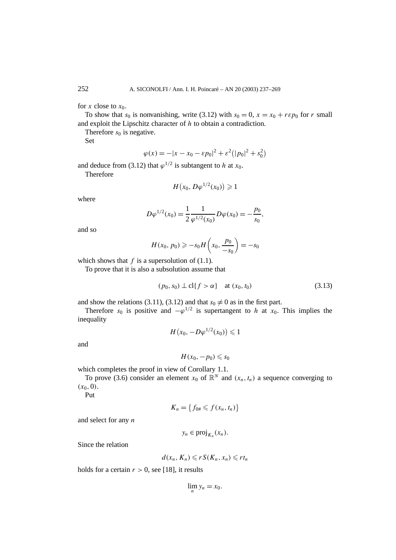for *x* close to  $x_0$ .

To show that  $s_0$  is nonvanishing, write (3.12) with  $s_0 = 0$ ,  $x = x_0 + r \varepsilon p_0$  for *r* small and exploit the Lipschitz character of *h* to obtain a contradiction.

Therefore  $s_0$  is negative.

Set

$$
\varphi(x) = -|x - x_0 - \varepsilon p_0|^2 + \varepsilon^2 (|p_0|^2 + s_0^2)
$$

and deduce from (3.12) that  $\varphi^{1/2}$  is subtangent to *h* at  $x_0$ .

**Therefore** 

$$
H(x_0, D\varphi^{1/2}(x_0)) \geq 1
$$

where

$$
D\varphi^{1/2}(x_0) = \frac{1}{2} \frac{1}{\varphi^{1/2}(x_0)} D\varphi(x_0) = -\frac{p_0}{s_0},
$$

and so

$$
H(x_0, p_0) \geqslant -s_0 H\left(x_0, \frac{p_0}{-s_0}\right) = -s_0
$$

which shows that 
$$
f
$$
 is a supersolution of (1.1).

To prove that it is also a subsolution assume that

$$
(p_0, s_0) \perp \text{cl}\{f > \alpha\} \quad \text{at } (x_0, t_0) \tag{3.13}
$$

and show the relations (3.11), (3.12) and that  $s_0 \neq 0$  as in the first part.

Therefore  $s_0$  is positive and  $-\varphi^{1/2}$  is supertangent to *h* at  $x_0$ . This implies the inequality

$$
H(x_0, -D\varphi^{1/2}(x_0)) \leq 1
$$

and

*H*( $x_0$ ,−*p*<sub>0</sub>) ≤  $s_0$ 

which completes the proof in view of Corollary 1.1.

To prove (3.6) consider an element  $x_0$  of  $\mathbb{R}^N$  and  $(x_n, t_n)$  a sequence converging to  $(x_0, 0)$ .

Put

$$
K_n = \big\{f_{0\#} \leqslant f(x_n, t_n)\big\}
$$

and select for any *n*

 $y_n \in \text{proj}_{K_n}(x_n)$ .

Since the relation

 $d(x_n, K_n) \leqslant rS(K_n, x_n) \leqslant rt_n$ 

holds for a certain  $r > 0$ , see [18], it results

$$
\lim_n y_n = x_0.
$$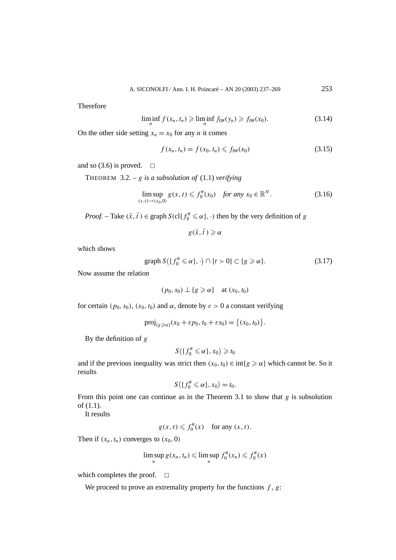Therefore

$$
\liminf_{n} f(x_n, t_n) \ge \liminf_{n} f_{0\#}(y_n) \ge f_{0\#}(x_0). \tag{3.14}
$$

On the other side setting  $x_n = x_0$  for any *n* it comes

$$
f(x_n, t_n) = f(x_0, t_n) \leq f_{0\#}(x_0)
$$
\n(3.15)

and so (3.6) is proved.  $\square$ 

THEOREM 3.2. – *g is a subsolution of* (1.1) *verifying*

$$
\limsup_{(x,t)\to(x_0,0)} g(x,t) \leq f_0^*(x_0) \quad \text{for any } x_0 \in \mathbb{R}^N. \tag{3.16}
$$

*Proof.* – Take  $(\bar{x}, \bar{t}) \in \text{graph } S(\text{cl}\lbrace f_0^* \leq \alpha \rbrace, \cdot)$  then by the very definition of *g* 

$$
g(\bar{x},\bar{t})\geqslant \alpha
$$

which shows

$$
\text{graph } S\big(\{f_0^* \leq \alpha\},\cdot\big) \cap \{t > 0\} \subset \{g \geq \alpha\}. \tag{3.17}
$$

Now assume the relation

$$
(p_0, s_0) \perp \{g \geq \alpha\} \quad \text{at } (x_0, t_0)
$$

for certain  $(p_0, s_0)$ ,  $(x_0, t_0)$  and  $\alpha$ , denote by  $\varepsilon > 0$  a constant verifying

$$
\operatorname{proj}_{\{g\geqslant\alpha\}}(x_0+\varepsilon p_0,t_0+\varepsilon s_0)=\big\{(x_0,t_0)\big\}.
$$

By the definition of *g*

$$
S\big(\{f_0^{\#} \leq \alpha\}, x_0\big) \geq t_0
$$

and if the previous inequality was strict then  $(x_0, t_0) \in \text{int}\lbrace g \ge \alpha \rbrace$  which cannot be. So it results

$$
S\big(\{f_0^{\#} \leq \alpha\}, x_0\big) = t_0.
$$

From this point one can continue as in the Theorem 3.1 to show that *g* is subsolution of (1.1).

It results

$$
g(x,t) \leqslant f_0^*(x) \quad \text{for any } (x,t).
$$

Then if  $(x_n, t_n)$  converges to  $(x_0, 0)$ 

$$
\limsup_n g(x_n, t_n) \leq \limsup_n f_0^{\#}(x_n) \leq f_0^{\#}(x)
$$

which completes the proof.  $\square$ 

We proceed to prove an extremality property for the functions  $f$ ,  $g$ :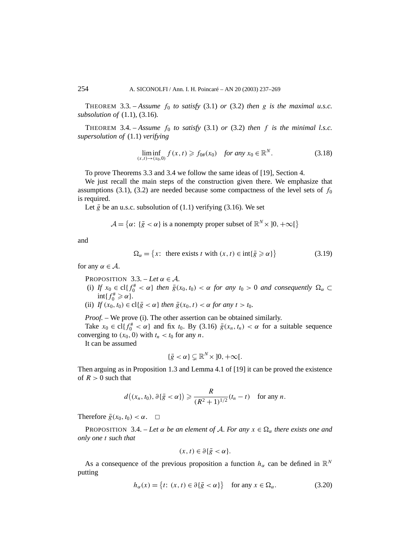THEOREM 3.3. – Assume  $f_0$  to satisfy (3.1) or (3.2) then  $g$  is the maximal u.s.c. *subsolution of* (1.1)*,* (3.16)*.*

THEOREM 3.4. – Assume  $f_0$  to satisfy (3.1) or (3.2) then  $f$  is the minimal l.s.c. *supersolution of* (1.1) *verifying*

$$
\liminf_{(x,t)\to(x_0,0)} f(x,t) \ge f_{0\#}(x_0) \quad \text{for any } x_0 \in \mathbb{R}^N. \tag{3.18}
$$

To prove Theorems 3.3 and 3.4 we follow the same ideas of [19], Section 4.

We just recall the main steps of the construction given there. We emphasize that assumptions  $(3.1)$ ,  $(3.2)$  are needed because some compactness of the level sets of  $f_0$ is required.

Let  $\bar{g}$  be an u.s.c. subsolution of (1.1) verifying (3.16). We set

 $\mathcal{A} = \{ \alpha : \{ \bar{g} < \alpha \} \text{ is a nonempty proper subset of } } \mathbb{R}^N \times ]0, +\infty[ \}$ 

and

$$
\Omega_{\alpha} = \{x: \text{ there exists } t \text{ with } (x, t) \in \text{int}\{\bar{g} \ge \alpha\}\}\
$$
 (3.19)

for any  $\alpha \in \mathcal{A}$ .

PROPOSITION  $3.3$ . – Let  $\alpha \in \mathcal{A}$ .

- (i) *If*  $x_0 \in \text{cl}\lbrace f_0^* < \alpha \rbrace$  *then*  $\bar{g}(x_0, t_0) < \alpha$  *for any*  $t_0 > 0$  *and consequently*  $\Omega_\alpha \subset$  $int{f_0^* \geq \alpha}$ .
- (ii) *If*  $(x_0, t_0) \in \text{cl}\{\bar{g} < \alpha\}$  *then*  $\bar{g}(x_0, t) < \alpha$  *for any*  $t > t_0$ *.*

*Proof. –* We prove (i). The other assertion can be obtained similarly.

Take  $x_0 \in \text{cl}\lbrace f_0^* < \alpha \rbrace$  and fix  $t_0$ . By (3.16)  $\bar{g}(x_n, t_n) < \alpha$  for a suitable sequence converging to  $(x_0, 0)$  with  $t_n < t_0$  for any *n*.

It can be assumed

$$
\{\bar{g} < \alpha\} \subsetneq \mathbb{R}^N \times ]0, +\infty[.
$$

Then arguing as in Proposition 1.3 and Lemma 4.1 of [19] it can be proved the existence of  $R > 0$  such that

$$
d\big((x_n,t_0),\,\partial\{\bar{g}<\alpha\}\big)\geqslant\frac{R}{(R^2+1)^{1/2}}(t_n-t)\quad\text{for any }n.
$$

Therefore  $\bar{g}(x_0, t_0) < \alpha$ .  $\Box$ 

**PROPOSITION** 3.4. – Let  $\alpha$  be an element of A. For any  $x \in \Omega_{\alpha}$  there exists one and *only one t such that*

$$
(x,t)\in\partial\{\bar{g}<\alpha\}.
$$

As a consequence of the previous proposition a function  $h_{\alpha}$  can be defined in  $\mathbb{R}^N$ putting

$$
h_{\alpha}(x) = \{t: (x, t) \in \partial \{\bar{g} < \alpha\} \} \quad \text{for any } x \in \Omega_{\alpha}.\tag{3.20}
$$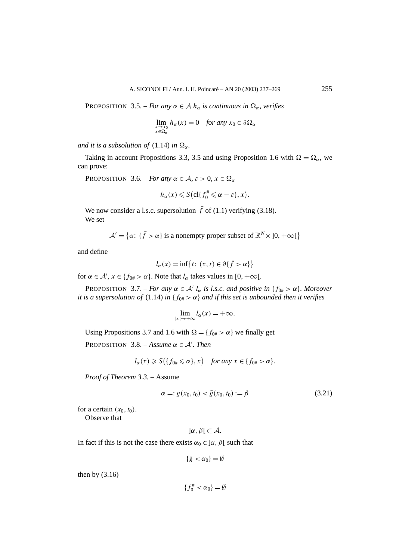**PROPOSITION** 3.5. – *For any*  $\alpha \in A$  *h<sub>α</sub> is continuous in*  $\Omega_{\alpha}$ *, verifies* 

$$
\lim_{\substack{x \to x_0 \\ x \in \Omega_\alpha}} h_\alpha(x) = 0 \quad \text{for any } x_0 \in \partial \Omega_\alpha
$$

*and it is a subsolution of* (1.14) *in*  $\Omega_{\alpha}$ *.* 

Taking in account Propositions 3.3, 3.5 and using Proposition 1.6 with  $\Omega = \Omega_{\alpha}$ , we can prove:

PROPOSITION 3.6. – *For any*  $\alpha \in A$ ,  $\varepsilon > 0$ ,  $x \in \Omega_{\alpha}$ 

$$
h_{\alpha}(x) \leqslant S\big(\mathrm{cl}\{f_0^{\#} \leqslant \alpha - \varepsilon\}, x\big).
$$

We now consider a l.s.c. supersolution  $\bar{f}$  of (1.1) verifying (3.18). We set

 $\mathcal{A}' = \{ \alpha \colon \{ \bar{f} > \alpha \} \}$  is a nonempty proper subset of  $\mathbb{R}^N \times ]0, +\infty[ \}$ 

and define

$$
l_{\alpha}(x) = \inf\{t: (x, t) \in \partial\{\bar{f} > \alpha\}\}\
$$

for  $\alpha \in \mathcal{A}'$ ,  $x \in \{f_{0\#} > \alpha\}$ . Note that  $l_{\alpha}$  takes values in [0, + $\infty$ [.

PROPOSITION 3.7. – *For any*  $\alpha \in A'$  *l<sub>α</sub> is l.s.c. and positive in* { $f_{0#} > \alpha$ }*. Moreover it is a supersolution of* (1.14) *in*  $\{f_{0#} > \alpha\}$  *and if this set is unbounded then it verifies* 

$$
\lim_{|x| \to +\infty} l_{\alpha}(x) = +\infty.
$$

Using Propositions 3.7 and 1.6 with  $\Omega = \{f_{0#} > \alpha\}$  we finally get

PROPOSITION  $3.8. - Assume \alpha \in \mathcal{A}'$ . Then

$$
l_{\alpha}(x) \geqslant S\big(\lbrace f_{0\#} \leqslant \alpha\rbrace, x\big) \quad \text{for any } x \in \lbrace f_{0\#} > \alpha\rbrace.
$$

*Proof of Theorem 3.3. –* Assume

$$
\alpha = g(x_0, t_0) < \bar{g}(x_0, t_0) := \beta \tag{3.21}
$$

for a certain  $(x_0, t_0)$ .

Observe that

$$
]\alpha, \beta[\subset \mathcal{A}.
$$

In fact if this is not the case there exists  $\alpha_0 \in \alpha$ ,  $\beta$ [ such that

$$
\{\bar{g} < \alpha_0\} = \emptyset
$$

then by  $(3.16)$ 

$$
\{f_0^{\#} < \alpha_0\} = \emptyset
$$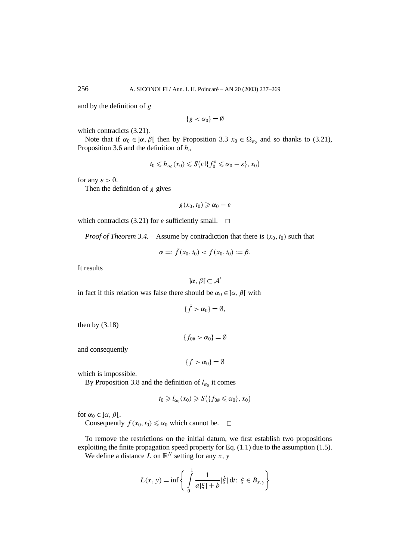and by the definition of *g*

$$
\{g<\alpha_0\}=\emptyset
$$

which contradicts  $(3.21)$ .

Note that if  $\alpha_0 \in \alpha$ ,  $\beta$ [ then by Proposition 3.3  $x_0 \in \Omega_{\alpha_0}$  and so thanks to (3.21), Proposition 3.6 and the definition of *hα*

$$
t_0 \leqslant h_{\alpha_0}(x_0) \leqslant S\big(\mathrm{cl}\{f_0^{\#} \leqslant \alpha_0 - \varepsilon\}, x_0\big)
$$

for any  $\varepsilon > 0$ .

Then the definition of *g* gives

$$
g(x_0, t_0) \geq \alpha_0 - \varepsilon
$$

which contradicts (3.21) for  $\varepsilon$  sufficiently small.  $\Box$ 

*Proof of Theorem 3.4.* – Assume by contradiction that there is  $(x_0, t_0)$  such that

$$
\alpha =: \bar{f}(x_0, t_0) < f(x_0, t_0) := \beta.
$$

It results

]*α, β*[ ⊂ <sup>A</sup>

in fact if this relation was false there should be  $\alpha_0 \in \alpha$ ,  $\beta$ [ with

$$
\{\bar{f} > \alpha_0\} = \emptyset,
$$

then by  $(3.18)$ 

 ${f_{0\#} > \alpha_0} = \emptyset$ 

and consequently

 ${f > \alpha_0} = \emptyset$ 

which is impossible.

By Proposition 3.8 and the definition of  $l_{\alpha}$  it comes

$$
t_0 \geqslant l_{\alpha_0}(x_0) \geqslant S\big(\lbrace f_{0\#} \leqslant \alpha_0 \rbrace, x_0\big)
$$

for  $\alpha_0 \in [\alpha, \beta]$ .

Consequently  $f(x_0, t_0) \le \alpha_0$  which cannot be.  $\Box$ 

To remove the restrictions on the initial datum, we first establish two propositions exploiting the finite propagation speed property for Eq. (1.1) due to the assumption (1.5).

We define a distance *L* on  $\mathbb{R}^N$  setting for any *x*, *y* 

$$
L(x, y) = \inf \left\{ \int_{0}^{1} \frac{1}{a|\xi| + b} |\dot{\xi}| dt : \xi \in B_{x, y} \right\}
$$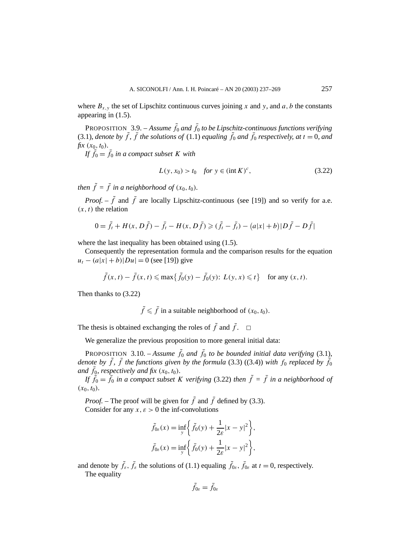where  $B_{x,y}$  the set of Lipschitz continuous curves joining x and y, and a, b the constants appearing in (1.5).

PROPOSITION 3.9. – Assume  $\tilde{f}_0$  and  $\bar{f}_0$  to be Lipschitz-continuous functions verifying (3.1), denote by  $\tilde{f}$ ,  $\tilde{f}$  the solutions of (1.1) equaling  $\tilde{f}_0$  and  $\tilde{f}_0$  respectively, at  $t = 0$ , and *fix*  $(x_0, t_0)$ *.* 

*If*  $\tilde{f}_0 = \tilde{f}_0$  *in a compact subset K with* 

$$
L(y, x_0) > t_0
$$
 for  $y \in (\text{int } K)^c$ , (3.22)

*then*  $\tilde{f} = \tilde{f}$  *in a neighborhood of*  $(x_0, t_0)$ *.* 

*Proof.* –  $\tilde{f}$  and  $\bar{f}$  are locally Lipschitz-continuous (see [19]) and so verify for a.e. *(x, t)* the relation

$$
0 = \tilde{f}_t + H(x, D\tilde{f}) - \bar{f}_t - H(x, D\bar{f}) \ge (\tilde{f}_t - \bar{f}_t) - (a|x| + b)|D\tilde{f} - D\bar{f}|
$$

where the last inequality has been obtained using (1.5).

Consequently the representation formula and the comparison results for the equation  $u_t - (a|x| + b)|Du| = 0$  (see [19]) give

$$
\tilde{f}(x,t) - \bar{f}(x,t) \le \max\{\tilde{f}_0(y) - \bar{f}_0(y): L(y,x) \le t\} \quad \text{for any } (x,t).
$$

Then thanks to (3.22)

 $\tilde{f} \leq \bar{f}$  in a suitable neighborhood of  $(x_0, t_0)$ .

The thesis is obtained exchanging the roles of  $\tilde{f}$  and  $\bar{f}$ .  $\Box$ 

We generalize the previous proposition to more general initial data:

PROPOSITION 3.10. – Assume  $\tilde{f}_0$  and  $\bar{f}_0$  to be bounded initial data verifying (3.1), *denote by*  $\tilde{f}$ ,  $\bar{f}$  *the functions given by the formula* (3.3) ((3.4)) *with*  $f_0$  *replaced by*  $\tilde{f}_0$ and  $\bar{f}_0$ , respectively and fix  $(x_0, t_0)$ *.* 

*If*  $\tilde{f}_0 = \bar{f}_0$  *in a compact subset K verifying* (3.22) *then*  $\tilde{f} = \bar{f}$  *in a neighborhood of*  $(x_0, t_0)$ *.* 

*Proof.* – The proof will be given for  $\tilde{f}$  and  $\bar{f}$  defined by (3.3). Consider for any  $x, \varepsilon > 0$  the inf-convolutions

$$
\tilde{f}_{0\varepsilon}(x) = \inf_{y} \left\{ \tilde{f}_0(y) + \frac{1}{2\varepsilon} |x - y|^2 \right\},\
$$

$$
\tilde{f}_{0\varepsilon}(x) = \inf_{y} \left\{ \tilde{f}_0(y) + \frac{1}{2\varepsilon} |x - y|^2 \right\},\
$$

and denote by  $\tilde{f}_{\varepsilon}$ ,  $\bar{f}_{\varepsilon}$  the solutions of (1.1) equaling  $\tilde{f}_{0\varepsilon}$ ,  $\bar{f}_{0\varepsilon}$  at  $t = 0$ , respectively. The equality

$$
\tilde{f}_{0\varepsilon} = \bar{f}_{0\varepsilon}
$$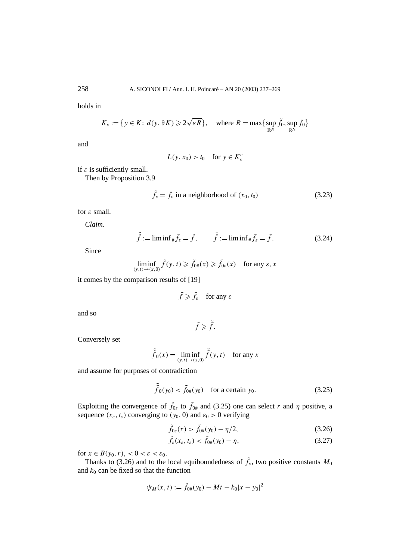holds in

$$
K_{\varepsilon} := \{ y \in K : d(y, \partial K) \geqslant 2\sqrt{\varepsilon R} \}, \quad \text{where } R = \max \{ \sup_{\mathbb{R}^N} \tilde{f}_0, \sup_{\mathbb{R}^N} \bar{f}_0 \}
$$

and

$$
L(y, x_0) > t_0 \quad \text{for } y \in K_{\varepsilon}^c
$$

if *ε* is sufficiently small.

Then by Proposition 3.9

$$
\tilde{f}_{\varepsilon} = \bar{f}_{\varepsilon} \text{ in a neighborhood of } (x_0, t_0) \tag{3.23}
$$

for 
$$
\varepsilon
$$
 small.

*Claim*. –

$$
\tilde{\tilde{f}} := \liminf_{\# \tilde{f}_{\varepsilon}} = \tilde{f}, \qquad \bar{\bar{f}} := \liminf_{\# \bar{f}_{\varepsilon}} = \bar{f}. \tag{3.24}
$$

Since

$$
\liminf_{(y,t)\to(x,0)} \tilde{f}(y,t) \geq \tilde{f}_{0\#}(x) \geq \tilde{f}_{0\varepsilon}(x) \quad \text{for any } \varepsilon, x
$$

it comes by the comparison results of [19]

$$
\tilde{f} \geqslant \tilde{f}_{\varepsilon} \quad \text{ for any } \varepsilon
$$

and so

Conversely set

 $\tilde{f} \geqslant \tilde{\tilde{f}}$ .

$$
\tilde{\tilde{f}}_0(x) = \liminf_{(y,t)\to(x,0)} \tilde{\tilde{f}}(y,t) \quad \text{for any } x
$$

and assume for purposes of contradiction

$$
\tilde{\tilde{f}}_0(y_0) < \tilde{f}_{0\#}(y_0) \quad \text{for a certain } y_0. \tag{3.25}
$$

Exploiting the convergence of  $f_{0\varepsilon}$  to  $f_{0\#}$  and (3.25) one can select *r* and *η* positive, a sequence  $(x_{\varepsilon}, t_{\varepsilon})$  converging to  $(y_0, 0)$  and  $\varepsilon_0 > 0$  verifying

$$
\tilde{f}_{0\varepsilon}(x) > \tilde{f}_{0\#}(y_0) - \eta/2, \tag{3.26}
$$

$$
\tilde{f}_{\varepsilon}(x_{\varepsilon},t_{\varepsilon}) < \tilde{f}_{0\#}(y_0) - \eta,\tag{3.27}
$$

for  $x \in B(y_0, r)$ ,  $0 < \varepsilon < \varepsilon_0$ .

Thanks to (3.26) and to the local equiboundedness of  $\tilde{f}_{\varepsilon}$ , two positive constants  $M_0$ and  $k_0$  can be fixed so that the function

$$
\psi_M(x,t) := \tilde{f}_{0\#}(y_0) - Mt - k_0|x - y_0|^2
$$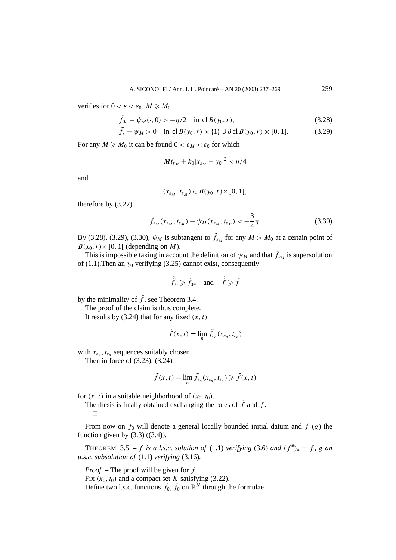verifies for  $0 < \varepsilon < \varepsilon_0$ ,  $M \ge M_0$ 

$$
\tilde{f}_{0\varepsilon} - \psi_M(\cdot, 0) > -\eta/2 \quad \text{in} \ \mathrm{cl} \ B(y_0, r),\tag{3.28}
$$

$$
\tilde{f}_{\varepsilon} - \psi_M > 0 \quad \text{in cl } B(y_0, r) \times \{1\} \cup \partial \text{ cl } B(y_0, r) \times [0, 1]. \tag{3.29}
$$

For any  $M \ge M_0$  it can be found  $0 < \varepsilon_M < \varepsilon_0$  for which

$$
Mt_{\varepsilon_M} + k_0 |x_{\varepsilon_M} - y_0|^2 < \eta/4
$$

and

$$
(x_{\varepsilon_M}, t_{\varepsilon_M}) \in B(y_0, r) \times ]0, 1[,
$$

therefore by (3.27)

$$
\tilde{f}_{\varepsilon_M}(x_{\varepsilon_M}, t_{\varepsilon_M}) - \psi_M(x_{\varepsilon_M}, t_{\varepsilon_M}) < -\frac{3}{4}\eta. \tag{3.30}
$$

By (3.28), (3.29), (3.30),  $\psi_M$  is subtangent to  $\tilde{f}_{\varepsilon_M}$  for any  $M > M_0$  at a certain point of  $B(x_0, r) \times ]0, 1[$  (depending on *M*).

This is impossible taking in account the definition of  $\psi_M$  and that  $\tilde{f}_{\varepsilon_M}$  is supersolution of (1.1).Then an *y*<sup>0</sup> verifying (3.25) cannot exist, consequently

$$
\tilde{\tilde{f}}_0 \geqslant \tilde{f}_{0\#} \quad \text{and} \quad \tilde{\tilde{f}} \geqslant \tilde{f}
$$

by the minimality of  $\tilde{f}$ , see Theorem 3.4.

The proof of the claim is thus complete.

It results by  $(3.24)$  that for any fixed  $(x, t)$ 

$$
\tilde{f}(x,t) = \lim_{n} \tilde{f}_{\varepsilon_n}(x_{\varepsilon_n}, t_{\varepsilon_n})
$$

with  $x_{\varepsilon_n}$ ,  $t_{\varepsilon_n}$  sequences suitably chosen.

Then in force of (3.23), (3.24)

$$
\tilde{f}(x,t) = \lim_{n} \bar{f}_{\varepsilon_n}(x_{\varepsilon_n}, t_{\varepsilon_n}) \geqslant \bar{f}(x,t)
$$

for  $(x, t)$  in a suitable neighborhood of  $(x_0, t_0)$ .

The thesis is finally obtained exchanging the roles of  $\tilde{f}$  and  $\bar{f}$ .  $\Box$ 

From now on  $f_0$  will denote a general locally bounded initial datum and  $f(g)$  the function given by  $(3.3)$   $((3.4))$ .

THEOREM 3.5. – *f* is a l.s.c. solution of (1.1) verifying (3.6) and  $(f^*)_{\#} = f$ , g an *u.s.c. subsolution of* (1.1) *verifying* (3.16)*.*

*Proof. –* The proof will be given for *f* . Fix  $(x_0, t_0)$  and a compact set *K* satisfying (3.22). Define two l.s.c. functions  $\tilde{f}_0$ ,  $\bar{f}_0$  on  $\mathbb{R}^N$  through the formulae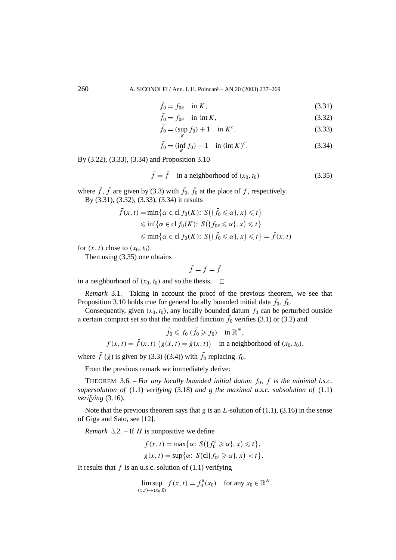$$
\tilde{f}_0 = f_{0\#} \quad \text{in } K,\tag{3.31}
$$

$$
\bar{f}_0 = f_{0\#} \quad \text{in int } K,\tag{3.32}
$$

$$
\tilde{f}_0 = (\sup_K f_0) + 1 \quad \text{in } K^c,
$$
\n(3.33)

$$
\bar{f}_0 = (\inf_K f_0) - 1 \quad \text{in } (\text{int } K)^c. \tag{3.34}
$$

By (3.22), (3.33), (3.34) and Proposition 3.10

$$
\tilde{f} = \bar{f} \quad \text{in a neighborhood of } (x_0, t_0) \tag{3.35}
$$

where  $\tilde{f}$ ,  $\bar{f}$  are given by (3.3) with  $\tilde{f}_0$ ,  $\bar{f}_0$  at the place of f, respectively. By (3.31), (3.32), (3.33), (3.34) it results

$$
\bar{f}(x,t) = \min\{\alpha \in \text{cl } f_0(K): S(\{\bar{f}_0 \leq \alpha\}, x) \leq t\}
$$
  
\n
$$
\leq \inf\{\alpha \in \text{cl } f_0(K): S(\{f_{0\#} \leq \alpha\}, x) \leq t\}
$$
  
\n
$$
\leq \min\{\alpha \in \text{cl } f_0(K): S(\{\tilde{f}_0 \leq \alpha\}, x) \leq t\} = \tilde{f}(x,t)
$$

for  $(x, t)$  close to  $(x_0, t_0)$ .

Then using (3.35) one obtains

$$
\bar{f}=f=\tilde{f}
$$

in a neighborhood of  $(x_0, t_0)$  and so the thesis.  $\Box$ 

*Remark* 3.1. – Taking in account the proof of the previous theorem, we see that Proposition 3.10 holds true for general locally bounded initial data  $\tilde{f}_0$ ,  $\bar{f}_0$ .

Consequently, given  $(x_0, t_0)$ , any locally bounded datum  $f_0$  can be perturbed outside a certain compact set so that the modified function  $\tilde{f}_0$  verifies (3.1) or (3.2) and

$$
\tilde{f}_0 \leq f_0 \left( \tilde{f}_0 \geq f_0 \right) \quad \text{in } \mathbb{R}^N,
$$
\n
$$
f(x, t) = \tilde{f}(x, t) \left( g(x, t) = \tilde{g}(x, t) \right) \quad \text{in a neighborhood of } (x_0, t_0),
$$

where  $\tilde{f}(\tilde{g})$  is given by (3.3) ((3.4)) with  $\tilde{f}_0$  replacing  $f_0$ .

From the previous remark we immediately derive:

THEOREM 3.6. – *For any locally bounded initial datum*  $f_0$ ,  $f$  *is the minimal l.s.c. supersolution of* (1.1) *verifying* (3.18) *and g the maximal u.s.c. subsolution of* (1.1) *verifying* (3.16)*.*

Note that the previous theorem says that *g* is an *L*-solution of (1.1), (3.16) in the sense of Giga and Sato, see [12].

*Remark* 3.2. – If *H* is nonpositive we define

$$
f(x, t) = \max\{\alpha \colon S(\lbrace f_0^{\#} \geq \alpha \rbrace, x) \leq t\},
$$
  

$$
g(x, t) = \sup\{\alpha \colon S(\mathrm{cl}\lbrace f_{0^{\#}} \geq \alpha \rbrace, x) < t\}.
$$

It results that  $f$  is an u.s.c. solution of  $(1.1)$  verifying

$$
\limsup_{(x,t)\to(x_0,0)} f(x,t) = f_0^*(x_0) \quad \text{for any } x_0 \in \mathbb{R}^N.
$$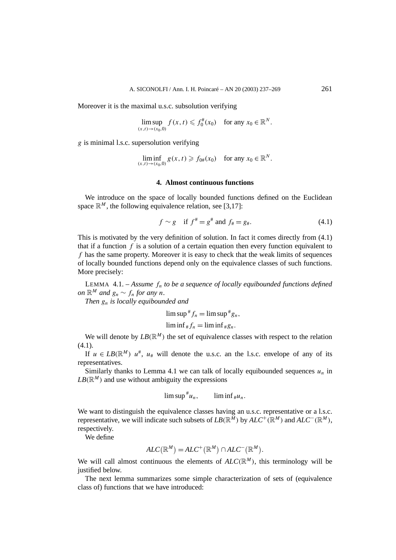Moreover it is the maximal u.s.c. subsolution verifying

$$
\limsup_{(x,t)\to(x_0,0)} f(x,t) \leqslant f_0^{\#}(x_0) \quad \text{for any } x_0 \in \mathbb{R}^N.
$$

*g* is minimal l.s.c. supersolution verifying

$$
\liminf_{(x,t)\to(x_0,0)} g(x,t) \ge f_{0\#}(x_0) \text{ for any } x_0 \in \mathbb{R}^N.
$$

#### **4. Almost continuous functions**

We introduce on the space of locally bounded functions defined on the Euclidean space  $\mathbb{R}^M$ , the following equivalence relation, see [3,17]:

$$
f \sim g
$$
 if  $f^* = g^*$  and  $f_{\#} = g_{\#}$ . (4.1)

This is motivated by the very definition of solution. In fact it comes directly from (4.1) that if a function  $f$  is a solution of a certain equation then every function equivalent to *f* has the same property. Moreover it is easy to check that the weak limits of sequences of locally bounded functions depend only on the equivalence classes of such functions. More precisely:

LEMMA 4.1. – *Assume fn to be a sequence of locally equibounded functions defined on*  $\mathbb{R}^M$  *and*  $g_n$  ∼  $f_n$  *for any n*.

*Then gn is locally equibounded and*

$$
\limsup^{\#} f_n = \limsup^{\#} g_n,
$$

$$
\liminf_{n \to \infty} f_n = \liminf_{n \to \infty} f_n.
$$

We will denote by  $LB(\mathbb{R}^M)$  the set of equivalence classes with respect to the relation  $(4.1).$ 

If  $u \in LB(\mathbb{R}^M)$   $u^*$ ,  $u^*$  will denote the u.s.c. an the l.s.c. envelope of any of its representatives.

Similarly thanks to Lemma 4.1 we can talk of locally equibounded sequences  $u_n$  in  $LB(\mathbb{R}^M)$  and use without ambiguity the expressions

 $\limsup^{\#} u_n, \qquad \liminf_{\#} u_n.$ 

We want to distinguish the equivalence classes having an u.s.c. representative or a l.s.c. representative, we will indicate such subsets of  $LB(\mathbb{R}^M)$  by  $ALC^+(\mathbb{R}^M)$  and  $ALC^-(\mathbb{R}^M)$ , respectively.

We define

$$
ALC(\mathbb{R}^M) = ALC^+(\mathbb{R}^M) \cap ALC^-(\mathbb{R}^M).
$$

We will call almost continuous the elements of  $ALC(\mathbb{R}^M)$ , this terminology will be justified below.

The next lemma summarizes some simple characterization of sets of (equivalence class of) functions that we have introduced: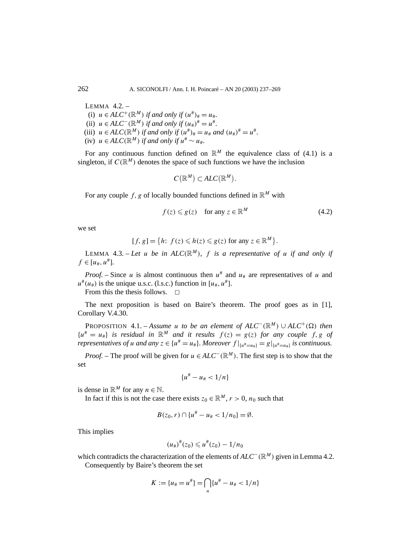LEMMA  $42$  –

- (i)  $u \in ALC^+(\mathbb{R}^M)$  *if and only if*  $(u^{\#})_{\#} = u_{\#}$ .
- (ii)  $u \in ALC^{-}(\mathbb{R}^{M})$  *if and only if*  $(u_{\#})^{\#} = u^{\#}$ .
- (iii)  $u \in ALC(\mathbb{R}^M)$  *if and only if*  $(u^*)_{\#} = u_{\#}$  *and*  $(u_{\#})^{\#} = u^{\#}$ *.*
- (iv)  $u \in ALC(\mathbb{R}^M)$  *if and only if*  $u^* \sim u^*$ .

For any continuous function defined on  $\mathbb{R}^M$  the equivalence class of (4.1) is a singleton, if  $C(\mathbb{R}^M)$  denotes the space of such functions we have the inclusion

$$
C(\mathbb{R}^M) \subset ALC(\mathbb{R}^M).
$$

For any couple  $f, g$  of locally bounded functions defined in  $\mathbb{R}^M$  with

 $f(z) \leq g(z)$  for any  $z \in \mathbb{R}^M$  (4.2)

we set

$$
[f, g] = \{h: f(z) \leq h(z) \leq g(z) \text{ for any } z \in \mathbb{R}^M\}.
$$

LEMMA 4.3. – Let *u* be in  $ALC(\mathbb{R}^M)$ , *f* is a representative of *u* if and only if  $f \in [u_{\#}, u^{\#}]$ .

*Proof.* – Since *u* is almost continuous then  $u^*$  and  $u_{\#}$  are representatives of *u* and  $u^*(u_*)$  is the unique u.s.c. (l.s.c.) function in  $[u_*, u^*]$ .

From this the thesis follows.  $\Box$ 

The next proposition is based on Baire's theorem. The proof goes as in [1], Corollary V.4.30.

PROPOSITION 4.1. – *Assume u to be an element of ALC*<sup> $-$ </sup>( $\mathbb{R}^M$ ) ∪ *ALC*<sup> $+$ </sup>( $\Omega$ ) *then*  ${u^* = u_*}$  *is residual in*  $\mathbb{R}^M$  *and it results*  $f(z) = g(z)$  *for any couple f, g of representatives of <i>u* and any  $z \in \{u^* = u^*\}$ *. Moreover*  $f|_{\{u^* = u^*\}} = g|_{\{u^* = u^*\}}$  *is continuous.* 

*Proof.* – The proof will be given for  $u \in ALC^{-}(\mathbb{R}^{M})$ . The first step is to show that the set

$$
\{u^{\#}-u_{\#}<1/n\}
$$

is dense in  $\mathbb{R}^M$  for any  $n \in \mathbb{N}$ .

In fact if this is not the case there exists  $z_0 \in \mathbb{R}^M$ ,  $r > 0$ ,  $n_0$  such that

$$
B(z_0,r) \cap \{u^{\#} - u_{\#} < 1/n_0\} = \emptyset.
$$

This implies

$$
(u_{\#})^{\#}(z_0) \leq u^{\#}(z_0) - 1/n_0
$$

which contradicts the characterization of the elements of *ALC*<sup>−</sup>*(*R*M)* given in Lemma 4.2.

Consequently by Baire's theorem the set

$$
K := \{u_{\#} = u^{\#}\} = \bigcap_{n} \{u^{\#} - u_{\#} < 1/n\}
$$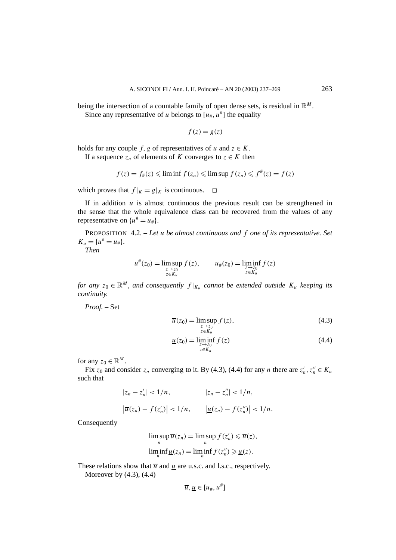being the intersection of a countable family of open dense sets, is residual in  $\mathbb{R}^M$ .

Since any representative of *u* belongs to  $[u_{\#}, u^{\#}]$  the equality

$$
f(z) = g(z)
$$

holds for any couple *f*, *g* of representatives of *u* and  $z \in K$ .

If a sequence  $z_n$  of elements of *K* converges to  $z \in K$  then

$$
f(z) = f_{\#}(z) \leq \liminf f(z_n) \leq \limsup f(z_n) \leq f^{\#}(z) = f(z)
$$

which proves that  $f|_K = g|_K$  is continuous.  $\Box$ 

If in addition  $u$  is almost continuous the previous result can be strengthened in the sense that the whole equivalence class can be recovered from the values of any representative on  $\{u^{\#} = u_{\#}\}.$ 

PROPOSITION 4.2. – *Let u be almost continuous and f one of its representative. Set*  $K_u = \{u^* = u_{\#}\}.$ 

*Then*

$$
u^{\#}(z_0) = \limsup_{\substack{z \to z_0 \\ z \in K_u}} f(z), \qquad u_{\#}(z_0) = \liminf_{\substack{z \to z_0 \\ z \in K_u}} f(z)
$$

*for any*  $z_0 \in \mathbb{R}^M$ , and consequently  $f|_{K_u}$  cannot be extended outside  $K_u$  keeping its *continuity.*

*Proof. –* Set

$$
\overline{u}(z_0) = \limsup_{\substack{z \to z_0 \\ z \in K_u}} f(z),\tag{4.3}
$$

$$
\underline{u}(z_0) = \liminf_{\substack{z \to z_0 \\ z \in K_u}} f(z)
$$
\n(4.4)

for any  $z_0 \in \mathbb{R}^M$ .

Fix  $z_0$  and consider  $z_n$  converging to it. By (4.3), (4.4) for any *n* there are  $z'_n, z''_n \in K_u$ such that

$$
|z_n - z'_n| < 1/n, \qquad |z_n - z''_n| < 1/n, \\
|\overline{u}(z_n) - f(z'_n)| < 1/n, \qquad |\underline{u}(z_n) - f(z''_n)| < 1/n.
$$

Consequently

$$
\limsup_{n} \overline{u}(z_n) = \limsup_{n} f(z'_n) \le \overline{u}(z),
$$
  

$$
\liminf_{n} \underline{u}(z_n) = \liminf_{n} f(z''_n) \ge \underline{u}(z).
$$

These relations show that  $\overline{u}$  and  $\overline{u}$  are u.s.c. and l.s.c., respectively.

Moreover by (4.3), (4.4)

$$
\overline{u}, \underline{u} \in [u_{\#}, u^{\#}]
$$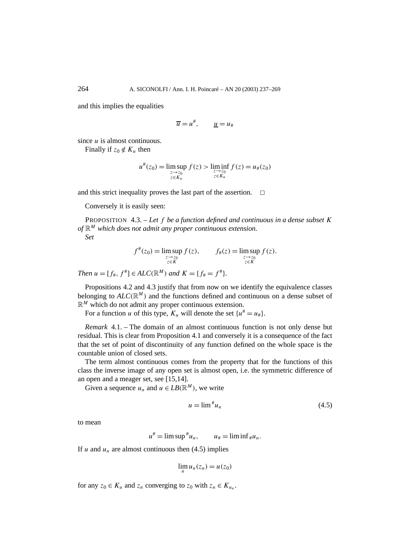and this implies the equalities

$$
\overline{u} = u^{\#}, \qquad \underline{u} = u_{\#}
$$

since *u* is almost continuous.

Finally if  $z_0 \notin K_u$  then

$$
u^{\#}(z_0) = \limsup_{\substack{z \to z_0 \\ z \in K_u}} f(z) > \liminf_{\substack{z \to z_0 \\ z \in K_u}} f(z) = u_{\#}(z_0)
$$

and this strict inequality proves the last part of the assertion.  $\Box$ 

Conversely it is easily seen:

PROPOSITION 4.3. – *Let f be a function defined and continuous in a dense subset K of* R*<sup>M</sup> which does not admit any proper continuous extension. Set*

$$
f^{\#}(z_0) = \limsup_{\substack{z \to z_0 \\ z \in K}} f(z), \qquad f_{\#}(z) = \limsup_{\substack{z \to z_0 \\ z \in K}} f(z).
$$

*Then*  $u = [f_{\#}, f^{\#}] \in ALC(\mathbb{R}^{M})$  *and*  $K = \{f_{\#} = f^{\#}\}.$ 

Propositions 4.2 and 4.3 justify that from now on we identify the equivalence classes belonging to  $ALC(\mathbb{R}^M)$  and the functions defined and continuous on a dense subset of  $\mathbb{R}^M$  which do not admit any proper continuous extension.

For a function *u* of this type,  $K_u$  will denote the set  $\{u^* = u_*\}.$ 

*Remark* 4.1. – The domain of an almost continuous function is not only dense but residual. This is clear from Proposition 4.1 and conversely it is a consequence of the fact that the set of point of discontinuity of any function defined on the whole space is the countable union of closed sets.

The term almost continuous comes from the property that for the functions of this class the inverse image of any open set is almost open, i.e. the symmetric difference of an open and a meager set, see [15,14].

Given a sequence  $u_n$  and  $u \in LB(\mathbb{R}^M)$ , we write

$$
u = \lim^{n} u_n \tag{4.5}
$$

to mean

$$
u^{\#} = \limsup^{\#} u_n, \qquad u_{\#} = \liminf_{\#} u_n.
$$

If  $u$  and  $u_n$  are almost continuous then (4.5) implies

$$
\lim_{n} u_n(z_n) = u(z_0)
$$

for any  $z_0 \in K_u$  and  $z_n$  converging to  $z_0$  with  $z_n \in K_{u_n}$ .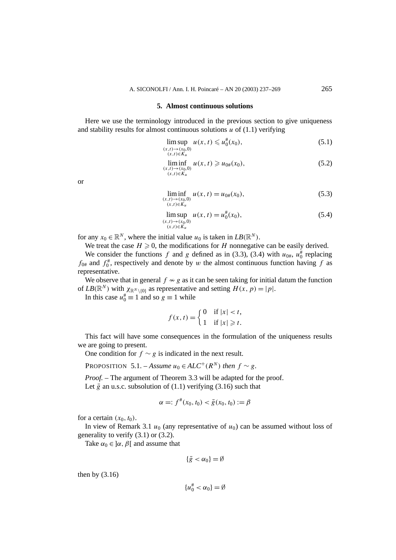#### **5. Almost continuous solutions**

Here we use the terminology introduced in the previous section to give uniqueness and stability results for almost continuous solutions *u* of (1.1) verifying

$$
\limsup_{(x,t)\to(x_0,0)} u(x,t) \leq u_0^{\#}(x_0),\tag{5.1}
$$

$$
\liminf_{\substack{(x,t)\to(x_0,0)\\(x,t)\to(x_0,0)}} u(x,t) \geq u_{0\#}(x_0),
$$
\n(5.2)

or

$$
\liminf_{\substack{(x,t)\to(x_0,0)\\(x,t)\in K_u}} u(x,t) = u_{0\#}(x_0),\tag{5.3}
$$

$$
\limsup_{\substack{(x,t)\to(x_0,0)\\(x,t)\in K_u}} u(x,t) = u_0^*(x_0),\tag{5.4}
$$

for any  $x_0 \in \mathbb{R}^N$ , where the initial value  $u_0$  is taken in  $LB(\mathbb{R}^N)$ .

We treat the case  $H \geq 0$ , the modifications for *H* nonnegative can be easily derived.

We consider the functions f and g defined as in (3.3), (3.4) with  $u_{0}$ <sup>#</sup>, *u*<sup>#</sup><sub>0</sub> replacing  $f_{0#}$  and  $f_0^*$ , respectively and denote by *w* the almost continuous function having f as representative.

We observe that in general  $f \nsim g$  as it can be seen taking for initial datum the function of *LB*( $\mathbb{R}^{N}$ ) with  $\chi_{\mathbb{R}^{N} \setminus \{0\}}$  as representative and setting  $H(x, p) = |p|$ .

In this case  $u_0^{\#} \equiv 1$  and so  $g \equiv 1$  while

$$
f(x,t) = \begin{cases} 0 & \text{if } |x| < t, \\ 1 & \text{if } |x| \ge t. \end{cases}
$$

This fact will have some consequences in the formulation of the uniqueness results we are going to present.

One condition for  $f \sim g$  is indicated in the next result.

PROPOSITION 5.1. – *Assume*  $u_0 \in ALC^+(R^N)$  *then*  $f \sim g$ .

*Proof.* – The argument of Theorem 3.3 will be adapted for the proof. Let  $\bar{g}$  an u.s.c. subsolution of (1.1) verifying (3.16) such that

$$
\alpha =: f^*(x_0, t_0) < \bar{g}(x_0, t_0) := \beta
$$

for a certain  $(x_0, t_0)$ .

In view of Remark 3.1  $u_0$  (any representative of  $u_0$ ) can be assumed without loss of generality to verify (3.1) or (3.2).

Take  $\alpha_0 \in \alpha$ ,  $\beta$ [ and assume that

$$
\{\bar{g} < \alpha_0\} = \emptyset
$$

then by  $(3.16)$ 

$$
\{u_0^{\#} < \alpha_0\} = \emptyset
$$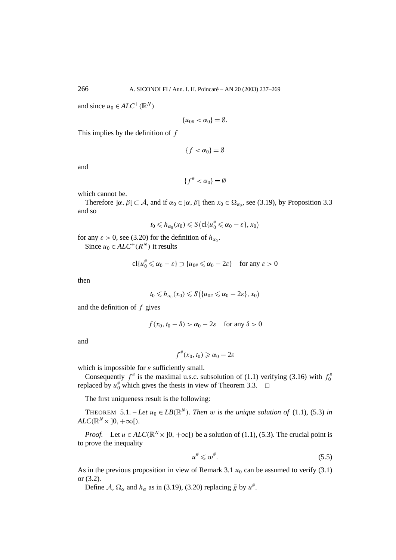and since  $u_0 \in ALC^+(\mathbb{R}^N)$ 

$$
\{u_{0\#}<\alpha_0\}=\emptyset.
$$

This implies by the definition of *f*

$$
\{f<\alpha_0\}=\emptyset
$$

and

$$
\{f^{\#} < \alpha_0\} = \emptyset
$$

which cannot be.

Therefore  $\alpha$ ,  $\beta$ [  $\subset A$ , and if  $\alpha_0 \in \alpha$ ,  $\beta$ [ then  $x_0 \in \Omega_{\alpha_0}$ , see (3.19), by Proposition 3.3 and so

$$
t_0 \leqslant h_{\alpha_0}(x_0) \leqslant S\big(\mathrm{cl}\{u_0^{\#} \leqslant \alpha_0 - \varepsilon\}, x_0\big)
$$

for any  $\varepsilon > 0$ , see (3.20) for the definition of  $h_{\alpha_0}$ .

Since  $u_0 \in ALC^+(R^N)$  it results

$$
cl{u_0^* \leq \alpha_0 - \varepsilon} \supset {u_{0\#} \leq \alpha_0 - 2\varepsilon} \quad \text{for any } \varepsilon > 0
$$

then

$$
t_0 \leqslant h_{\alpha_0}(x_0) \leqslant S\big(\{u_{0\#} \leqslant \alpha_0 - 2\varepsilon\}, x_0\big)
$$

and the definition of *f* gives

$$
f(x_0, t_0 - \delta) > \alpha_0 - 2\varepsilon \quad \text{for any } \delta > 0
$$

and

 $f^*(x_0, t_0) \geq \alpha_0 - 2\varepsilon$ 

which is impossible for *ε* sufficiently small.

Consequently  $f^*$  is the maximal u.s.c. subsolution of (1.1) verifying (3.16) with  $f_0^*$ replaced by  $u_0^*$  which gives the thesis in view of Theorem 3.3.  $\Box$ 

The first uniqueness result is the following:

THEOREM 5.1. – Let  $u_0 \in LB(\mathbb{R}^N)$ . Then *w* is the unique solution of (1.1), (5.3) in  $ALC(\mathbb{R}^N\times]0,+\infty$ [*)*.

*Proof.* – Let  $u \in ALC(\mathbb{R}^N \times [0, +\infty])$  be a solution of (1.1), (5.3). The crucial point is to prove the inequality

$$
u^* \leqslant w^*.\tag{5.5}
$$

As in the previous proposition in view of Remark 3.1  $u_0$  can be assumed to verify (3.1) or (3.2).

Define A,  $\Omega_{\alpha}$  and  $h_{\alpha}$  as in (3.19), (3.20) replacing  $\bar{g}$  by  $u^*$ .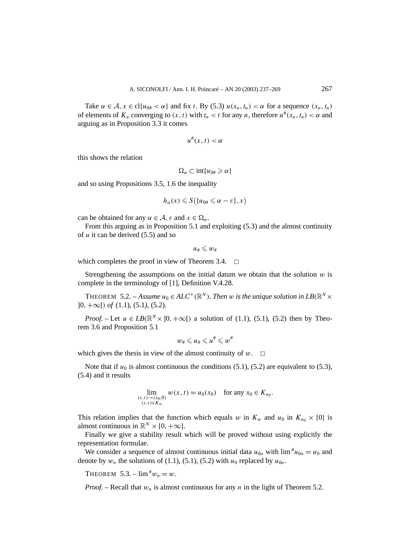Take  $\alpha \in A$ ,  $x \in \text{cl}\lbrace u_{0\#} < \alpha \rbrace$  and fix *t*. By (5.3)  $u(x_n, t_n) < \alpha$  for a sequence  $(x_n, t_n)$ of elements of  $K_u$  converging to  $(x, t)$  with  $t_n < t$  for any *n*, therefore  $u^*(x_n, t_n) < \alpha$  and arguing as in Proposition 3.3 it comes

$$
u^{\#}(x,t) < \alpha
$$

this shows the relation

$$
\Omega_{\alpha}\subset\text{int}\{u_{0\#}\geqslant\alpha\}
$$

and so using Propositions 3.5, 1.6 the inequality

$$
h_{\alpha}(x) \leqslant S\big(\{u_{0\#} \leqslant \alpha - \varepsilon\}, x\big)
$$

can be obtained for any  $\alpha \in A$ ,  $\varepsilon$  and  $x \in \Omega_{\alpha}$ .

From this arguing as in Proposition 5.1 and exploiting (5.3) and the almost continuity of *u* it can be derived (5.5) and so

 $u_{\#} \leqslant w_{\#}$ 

which completes the proof in view of Theorem 3.4.  $\Box$ 

Strengthening the assumptions on the initial datum we obtain that the solution *w* is complete in the terminology of [1], Definition V.4.28.

THEOREM 5.2. – Assume  $u_0 \in ALC^+(\mathbb{R}^N)$ . Then *w* is the unique solution in  $LB(\mathbb{R}^N \times$ ]0*,*+∞[*) of* (1.1)*,* (5.1*),* (5.2)*.*

*Proof.* – Let  $u \in \text{LB}(\mathbb{R}^N \times [0, +\infty[)$  a solution of (1.1), (5.1), (5.2) then by Theorem 3.6 and Proposition 5.1

$$
w_\#\leqslant u_\#\leqslant u^\#\leqslant w^\#
$$

which gives the thesis in view of the almost continuity of  $w$ .  $\Box$ 

Note that if  $u_0$  is almost continuous the conditions (5.1), (5.2) are equivalent to (5.3), (5.4) and it results

$$
\lim_{\substack{(x,t)\to(x_0,0)\\(x,t)\in K_w}} w(x,t) = u_0(x_0) \quad \text{for any } x_0 \in K_{u_0}.
$$

This relation implies that the function which equals *w* in  $K_w$  and  $u_0$  in  $K_{u_0} \times \{0\}$  is almost continuous in  $\mathbb{R}^N \times [0, +\infty]$ .

Finally we give a stability result which will be proved without using explicitly the representation formulae.

We consider a sequence of almost continuous initial data  $u_{0n}$  with  $\lim_{n \to \infty} u_{0n} = u_0$  and denote by  $w_n$  the solutions of (1.1), (5.1), (5.2) with  $u_0$  replaced by  $u_{0n}$ .

THEOREM 5.3. –  $\lim^{\#} w_n = w$ .

*Proof.* – Recall that  $w_n$  is almost continuous for any *n* in the light of Theorem 5.2.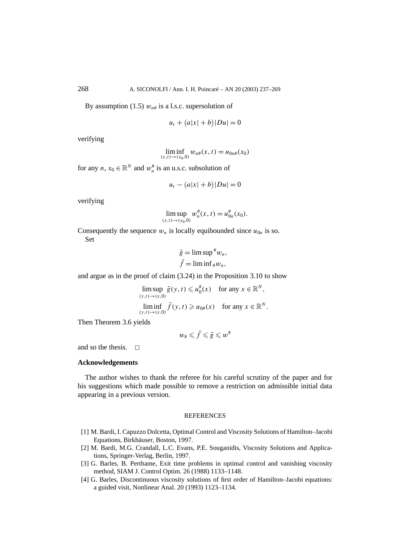By assumption (1.5)  $w_{n#}$  is a l.s.c. supersolution of

$$
u_t + (a|x| + b)|Du| = 0
$$

verifying

$$
\liminf_{(x,t)\to(x_0,0)} w_{n\#}(x,t) = u_{0n\#}(x_0)
$$

for any  $n, x_0 \in \mathbb{R}^N$  and  $w_n^{\#}$  is an u.s.c. subsolution of

$$
u_t - (a|x| + b)|Du| = 0
$$

verifying

$$
\limsup_{(x,t)\to(x_0,0)} w_n^{\#}(x,t) = u_{0n}^{\#}(x_0).
$$

Consequently the sequence  $w_n$  is locally equibounded since  $u_{0n}$  is so. Set

$$
\bar{g} = \limsup^{\#} w_n,
$$
  

$$
\bar{f} = \liminf^{\#} w_n,
$$

and argue as in the proof of claim (3.24) in the Proposition 3.10 to show

$$
\limsup_{(y,t)\to(x,0)} \bar{g}(y,t) \le u_0^*(x) \quad \text{for any } x \in \mathbb{R}^N,
$$
  

$$
\liminf_{(y,t)\to(x,0)} \bar{f}(y,t) \ge u_{0\#}(x) \quad \text{for any } x \in \mathbb{R}^N.
$$

Then Theorem 3.6 yields

 $w_{\#} \leqslant \bar{f} \leqslant \bar{g} \leqslant w^{\#}$ 

and so the thesis.  $\Box$ 

### **Acknowledgements**

The author wishes to thank the referee for his careful scrutiny of the paper and for his suggestions which made possible to remove a restriction on admissible initial data appearing in a previous version.

#### **REFERENCES**

- [1] M. Bardi, I. Capuzzo Dolcetta, Optimal Control and Viscosity Solutions of Hamilton–Jacobi Equations, Birkhäuser, Boston, 1997.
- [2] M. Bardi, M.G. Crandall, L.C. Evans, P.E. Souganidis, Viscosity Solutions and Applications, Springer-Verlag, Berlin, 1997.
- [3] G. Barles, B. Perthame, Exit time problems in optimal control and vanishing viscosity method, SIAM J. Control Optim. 26 (1988) 1133–1148.
- [4] G. Barles, Discontinuous viscosity solutions of first order of Hamilton–Jacobi equations: a guided visit, Nonlinear Anal. 20 (1993) 1123–1134.